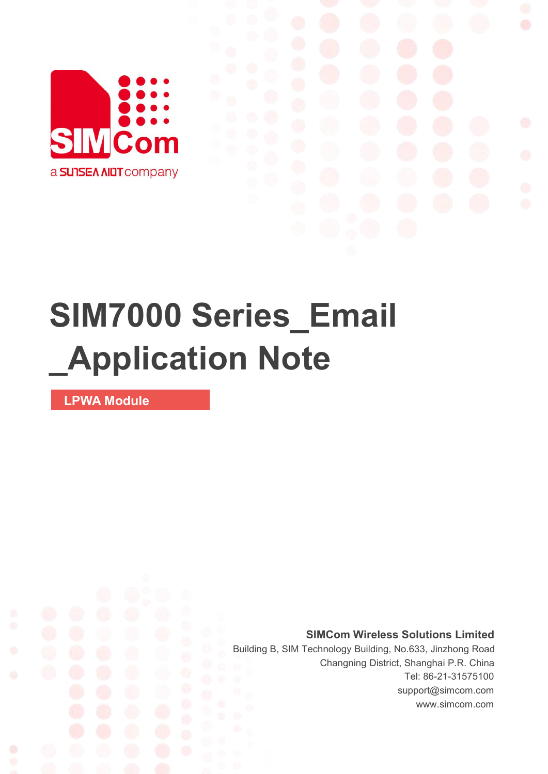

# **SIM7000 Series\_Email \_Application Note**

**LPWA Module**

Ø

**SIMCom Wireless Solutions Limited**

Building B, SIM Technology Building, No.633, Jinzhong Road Changning District, Shanghai P.R. China Tel: 86-21-31575100 support@simcom.com www.simcom.com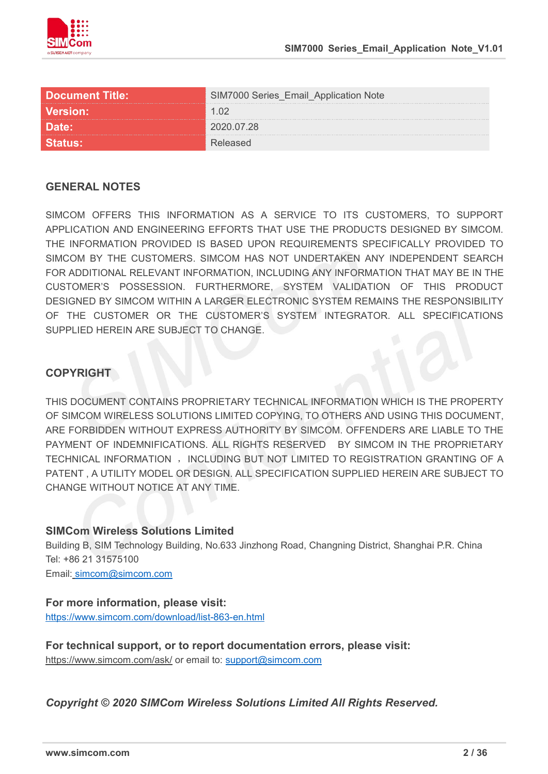

| <b>Document Title:</b> | IM7000 Series_Email_Application Note |
|------------------------|--------------------------------------|
| <b>Version:</b>        |                                      |
| <b>Date:</b>           | <sup>ን</sup> በ2በ በ7 28               |
|                        |                                      |

#### **GENERAL NOTES**

SIMCOM OFFERS THIS INFORMATION AS A SERVICE TO ITS CUSTOMERS. TO SUPPORT APPLICATION AND ENGINEERING EFFORTS THAT USE THE PRODUCTS DESIGNED BY SIMCOM. THE INFORMATION PROVIDED IS BASED UPON REQUIREMENTS SPECIFICALLY PROVIDED TO SIMCOM BY THE CUSTOMERS. SIMCOM HAS NOT UNDERTAKEN ANY INDEPENDENT SEARCH FOR ADDITIONAL RELEVANT INFORMATION, INCLUDING ANY INFORMATION THAT MAY BE IN THE CUSTOMER'S POSSESSION. FURTHERMORE, SYSTEM VALIDATION OF THIS PRODUCT DESIGNED BY SIMCOM WITHIN A LARGER ELECTRONIC SYSTEM REMAINS THE RESPONSIBILITY OF THE CUSTOMER OR THE CUSTOMER'S SYSTEM INTEGRATOR. ALL SPECIFICATIONS SUPPLIED HEREIN ARE SUBJECT TO CHANGE.

#### **COPYRIGHT**

THIS DOCUMENT CONTAINS PROPRIETARY TECHNICAL INFORMATION WHICH IS THE PROPERTY OF SIMCOM WIRELESS SOLUTIONS LIMITED COPYING, TO OTHERS AND USING THIS DOCUMENT, ARE FORBIDDEN WITHOUT EXPRESS AUTHORITY BY SIMCOM. OFFENDERS ARE LIABLE TO THE PAYMENT OF INDEMNIFICATIONS. ALL RIGHTS RESERVED BY SIMCOM IN THE PROPRIETARY TECHNICAL INFORMATION , INCLUDING BUT NOT LIMITED TO REGISTRATION GRANTING OF A PATENT , A UTILITY MODEL OR DESIGN. ALL SPECIFICATION SUPPLIED HEREIN ARE SUBJECT TO CHANGE WITHOUT NOTICE AT ANY TIME.

#### **SIMCom Wireless Solutions Limited**

Building B, SIM Technology Building, No.633 Jinzhong Road, Changning District, Shanghai P.R. China Tel: +86 21 31575100

Email: [simcom@simcom.com](mailto:simcom@simcom.com)

#### **For more information, please visit:**

<https://www.simcom.com/download/list-863-en.html>

**For technical support, or to report documentation errors, please visit:** https://www.simcom.com/ask/ or email to: [support@simcom.com](mailto:support@simcom.com)

*Copyright © 2020 SIMCom Wireless Solutions Limited All Rights Reserved.*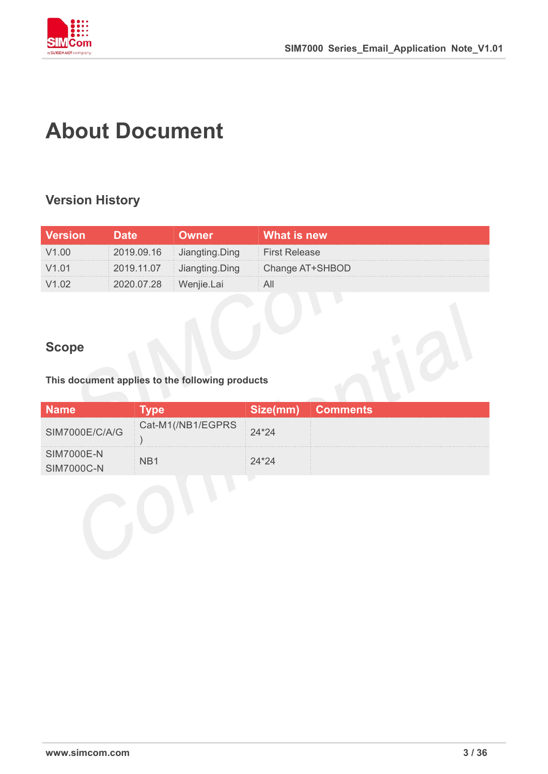

## **About Document**

### **Version History**

| <b>Version</b> |                       | <b>Owner</b>              | What is new     |
|----------------|-----------------------|---------------------------|-----------------|
|                |                       | 2019.09.16 Jiangting Ding | First Release   |
|                |                       | 2019.11.07 Jiangting.Ding | Change AT+SHBOD |
|                | 2020.07.28 Wenjie.Lai |                           |                 |

#### **Scope**

#### **This document applies to the following products**

| Name                                   |                   | Size(mm) | <b>Comments</b> |
|----------------------------------------|-------------------|----------|-----------------|
| SIM7000E/C/A/G                         | Cat-M1(/NB1/EGPRS | $24*24$  |                 |
| <b>SIM7000E-N</b><br><b>SIM7000C-N</b> |                   | 4*24     |                 |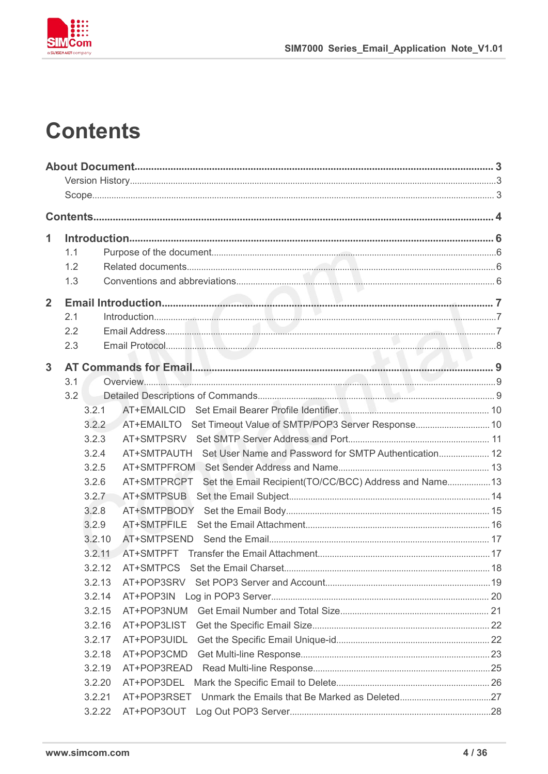

## **Contents**

| 1                       |        |                                                                   |  |
|-------------------------|--------|-------------------------------------------------------------------|--|
|                         | 1.1    |                                                                   |  |
|                         | 1.2    |                                                                   |  |
|                         | 1.3    |                                                                   |  |
| $\overline{2}$          |        |                                                                   |  |
|                         | 2.1    |                                                                   |  |
|                         | 2.2    |                                                                   |  |
|                         | 2.3    |                                                                   |  |
| $\overline{\mathbf{3}}$ |        |                                                                   |  |
|                         | 3.1    |                                                                   |  |
|                         | 3.2    |                                                                   |  |
|                         | 3.2.1  |                                                                   |  |
|                         | 3.2.2  | AT+EMAILTO Set Timeout Value of SMTP/POP3 Server Response 10      |  |
|                         | 3.2.3  |                                                                   |  |
|                         | 3.2.4  | AT+SMTPAUTH Set User Name and Password for SMTP Authentication 12 |  |
|                         | 3.2.5  |                                                                   |  |
|                         | 3.2.6  | AT+SMTPRCPT Set the Email Recipient(TO/CC/BCC) Address and Name13 |  |
|                         | 3.2.7  |                                                                   |  |
|                         | 3.2.8  |                                                                   |  |
|                         | 3.2.9  |                                                                   |  |
|                         | 3.2.10 |                                                                   |  |
|                         | 3.2.11 |                                                                   |  |
|                         | 3.2.12 |                                                                   |  |
|                         | 3.2.13 |                                                                   |  |
|                         | 3.2.14 |                                                                   |  |
|                         | 3.2.15 |                                                                   |  |
|                         | 3.2.16 |                                                                   |  |
|                         | 3.2.17 | AT+POP3UIDL                                                       |  |
|                         | 3.2.18 | AT+POP3CMD                                                        |  |
|                         | 3.2.19 |                                                                   |  |
|                         | 3.2.20 | AT+POP3DEL                                                        |  |
|                         | 3.2.21 |                                                                   |  |
|                         | 3.2.22 |                                                                   |  |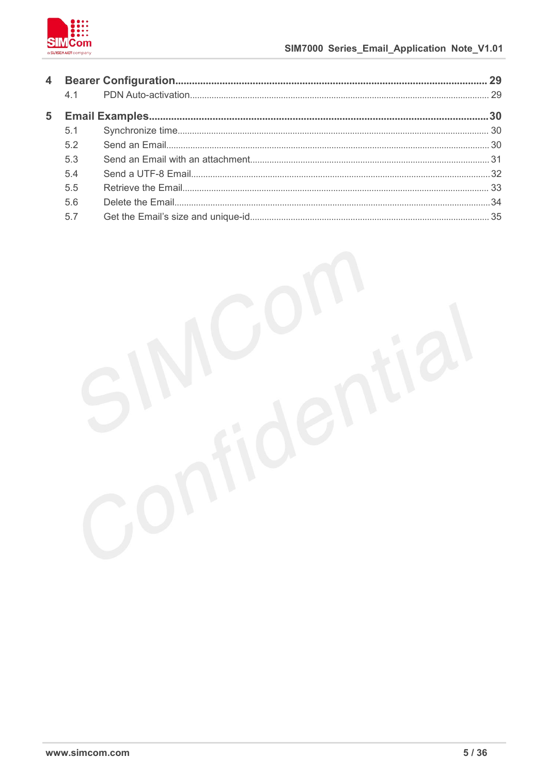

| 5.1 |  |
|-----|--|
| 5.2 |  |
| 5.3 |  |
| 5.4 |  |
| 5.5 |  |
| 5.6 |  |
| 5.7 |  |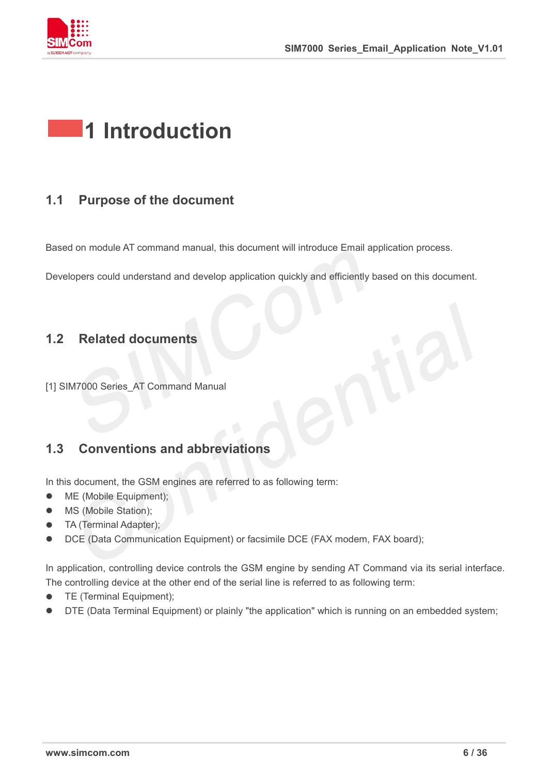

## **1 Introduction**

#### **1.1 Purpose of the document**

Based on module AT command manual, this document will introduce Email application process.

Developers could understand and develop application quickly and efficiently based on this document.

#### **1.2 Related documents**

[1] SIM7000 Series AT Command Manual

#### **1.3 Conventions and abbreviations**

In this document, the GSM engines are referred to as following term:

- ME (Mobile Equipment);
- MS (Mobile Station);
- TA (Terminal Adapter);
- DCE (Data Communication Equipment) or facsimile DCE (FAX modem, FAX board);

In application, controlling device controls the GSM engine by sending AT Command via its serial interface. The controlling device at the other end of the serial line is referred to as following term:

- **TE** (Terminal Equipment);
- DTE (Data Terminal Equipment) or plainly "the application" which is running on an embedded system;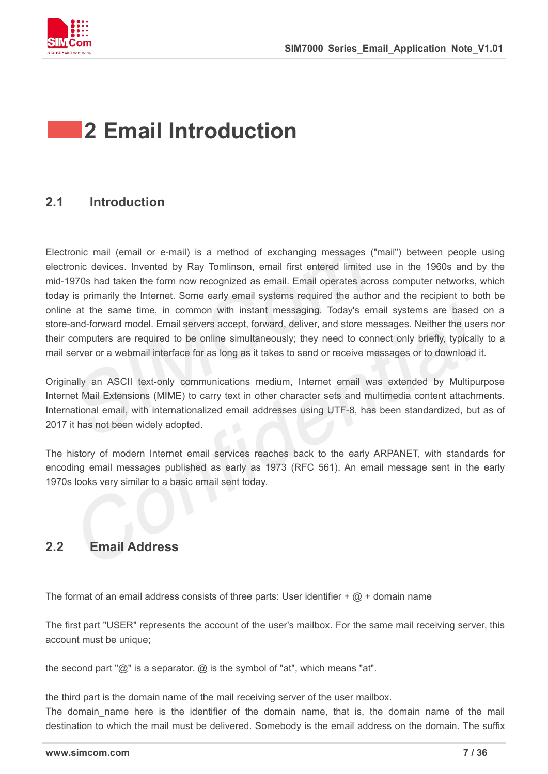

## **2 Email Introduction**

#### **2.1 Introduction**

Electronic mail (email or e-mail) is a method of exchanging messages ("mail") between people using electronic devices. Invented by Ray Tomlinson, email first entered limited use in the 1960s and by the mid-1970s had taken the form now recognized as email. Email operates across computer networks, which today is primarily the Internet. Some early email systems required the author and the recipient to both be online at the same time, in common with instant messaging. Today's email systems are based on a store-and-forward model. Email servers accept, forward, deliver, and store messages. Neither the users nor their computers are required to be online simultaneously; they need to connect only briefly, typically to a mail server or a webmail interface for as long as it takes to send or receive messages or to download it.

Originally an ASCII text-only communications medium, Internet email was extended by Multipurpose Internet Mail Extensions (MIME) to carry text in other character sets and multimedia content attachments. International email, with internationalized email addresses using UTF-8, has been standardized, but as of 2017 it has not been widely adopted.<br>The history of modern Internet email services reaches back to the early ARPANET, with standards for

encoding email messages published as early as 1973 (RFC 561). An email message sent in the early 1970s looks very similar to a basic email sent today.

#### **2.2 Email Address**

The format of an email address consists of three parts: User identifier  $+$   $@ +$  domain name

The first part "USER" represents the account of the user's mailbox. For the same mail receiving server, this account must be unique;

the second part "@" is a separator. @ is the symbol of "at", which means "at".

the third part is the domain name of the mail receiving server of the user mailbox. The domain name here is the identifier of the domain name, that is, the domain name of the mail destination to which the mail must be delivered. Somebody is the email address on the domain. The suffix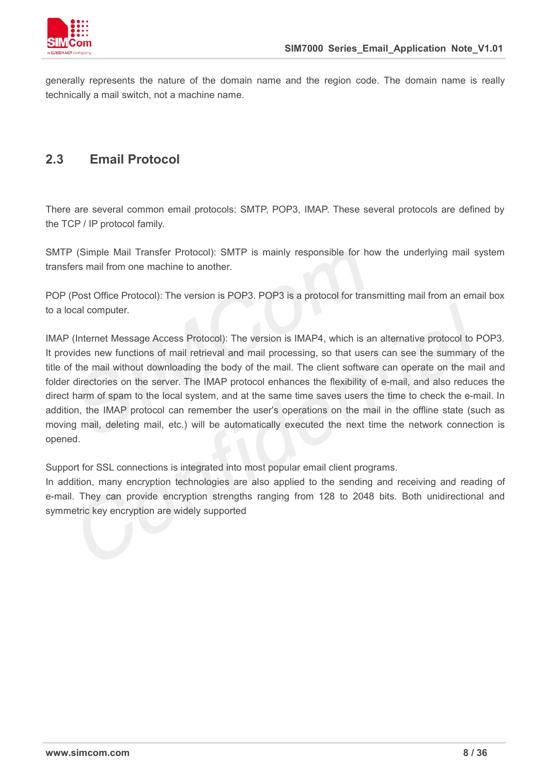

generally represents the nature of the domain name and the region code. The domain name is really technically a mail switch, not a machine name.

#### **2.3 Email Protocol**

There are several common email protocols: SMTP, POP3, IMAP. These several protocols are defined by the TCP / IP protocol family.

SMTP (Simple Mail Transfer Protocol): SMTP is mainly responsible for how the underlying mail system transfers mail from one machine to another.

POP (Post Office Protocol): The version is POP3. POP3 is a protocol for transmitting mail from an email box to a local computer.

IMAP (Internet Message Access Protocol): The version is IMAP4, which is an alternative protocol to POP3. It provides new functions of mail retrieval and mail processing, so that users can see the summary of the title of the mail without downloading the body of the mail. The client software can operate on the mail and folder directories on the server. The IMAP protocol enhances the flexibility of e-mail, and also reduces the direct harm of spam to the local system, and at the same time saves users the time to check the e-mail. In addition, the IMAP protocol can remember the user's operations on the mail in the offline state (such as moving mail, deleting mail, etc.) will be automatically executed the next time the network connection is opened.

Support for SSL connections is integrated into most popular email client programs.

In addition, many encryption technologies are also applied to the sending and receiving and reading of e-mail. They can provide encryption strengths ranging from 128 to 2048 bits. Both unidirectional and symmetric key encryption are widely supported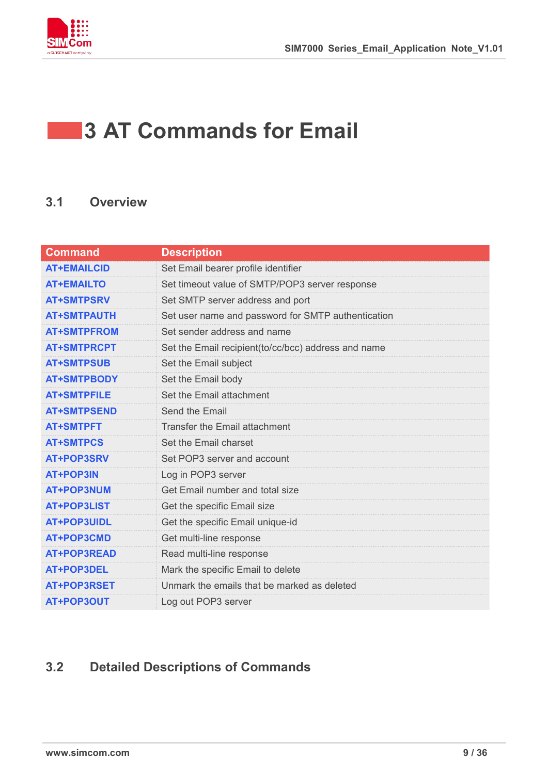

## **3 AT Commands for Email**

#### **3.1 Overview**

| <b>Command</b>     | <b>Description</b>                                  |
|--------------------|-----------------------------------------------------|
| <b>AT+EMAILCID</b> | Set Email bearer profile identifier                 |
| <b>AT+EMAILTO</b>  | Set timeout value of SMTP/POP3 server response      |
| <b>AT+SMTPSRV</b>  | Set SMTP server address and port                    |
| <b>AT+SMTPAUTH</b> | Set user name and password for SMTP authentication  |
| <b>AT+SMTPFROM</b> | Set sender address and name                         |
| <b>AT+SMTPRCPT</b> | Set the Email recipient(to/cc/bcc) address and name |
| <b>AT+SMTPSUB</b>  | Set the Email subject                               |
| <b>AT+SMTPBODY</b> | Set the Email body                                  |
| <b>AT+SMTPFILE</b> | Set the Email attachment                            |
| <b>AT+SMTPSEND</b> | Send the Email                                      |
| <b>AT+SMTPFT</b>   | <b>Transfer the Email attachment</b>                |
| <b>AT+SMTPCS</b>   | Set the Email charset                               |
| AT+POP3SRV         | Set POP3 server and account                         |
| <b>AT+POP3IN</b>   | Log in POP3 server                                  |
| AT+POP3NUM         | Get Email number and total size                     |
| <b>AT+POP3LIST</b> | Get the specific Email size                         |
| <b>AT+POP3UIDL</b> | Get the specific Email unique-id                    |
| AT+POP3CMD         | Get multi-line response                             |
| AT+POP3READ        | Read multi-line response                            |
| AT+POP3DEL         | Mark the specific Email to delete                   |
| <b>AT+POP3RSET</b> | Unmark the emails that be marked as deleted         |
| AT+POP3OUT         | Log out POP3 server                                 |

### **3.2 Detailed Descriptions of Commands**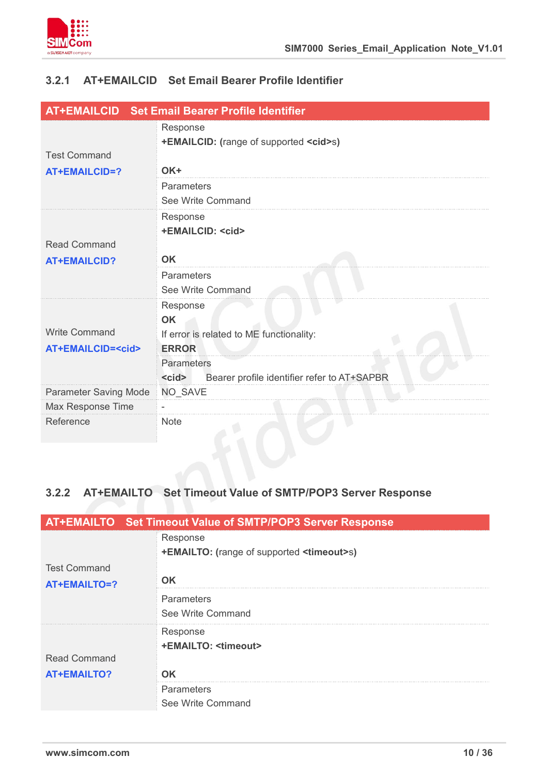

#### **3.2.1 AT+EMAILCID Set Email Bearer Profile Identifier**

|                                | AT+EMAILCID Set Email Bearer Profile Identifier                  |
|--------------------------------|------------------------------------------------------------------|
|                                | Response                                                         |
| <b>Test Command</b>            | +EMAILCID: (range of supported <cid>s)</cid>                     |
| <b>AT+EMAILCID=?</b>           | OK+                                                              |
|                                | Parameters                                                       |
|                                | See Write Command                                                |
|                                | Response                                                         |
|                                | +EMAILCID: <cid></cid>                                           |
| <b>Read Command</b>            |                                                                  |
| <b>AT+EMAILCID?</b>            | <b>OK</b>                                                        |
|                                | Parameters                                                       |
|                                | See Write Command                                                |
|                                | Response                                                         |
| <b>Write Command</b>           | <b>OK</b>                                                        |
| <b>AT+EMAILCID=<cid></cid></b> | If error is related to ME functionality:<br><b>ERROR</b>         |
|                                | <b>Parameters</b>                                                |
|                                | $\leq$ cid $\geq$<br>Bearer profile identifier refer to AT+SAPBR |
| <b>Parameter Saving Mode</b>   | NO_SAVE                                                          |
| Max Response Time              |                                                                  |
| Reference                      | <b>Note</b>                                                      |
|                                |                                                                  |

#### **3.2.2 AT+EMAILTO Set Timeout Value of SMTP/POP3 Server Response**

|                     | <b>AT+EMAILTO</b> Set Timeout Value of SMTP/POP3 Server Response |
|---------------------|------------------------------------------------------------------|
|                     | Response                                                         |
|                     | +EMAILTO: (range of supported <timeout>s)</timeout>              |
| <b>Test Command</b> |                                                                  |
| AT+EMAILTO=?        | <b>OK</b>                                                        |
|                     | <b>Parameters</b>                                                |
|                     | See Write Command                                                |
|                     | Response                                                         |
|                     | <b>+EMAILTO: <timeout></timeout></b>                             |
| Read Command        |                                                                  |
| <b>AT+EMAILTO?</b>  | <b>OK</b>                                                        |
|                     | <b>Parameters</b>                                                |
|                     | See Write Command                                                |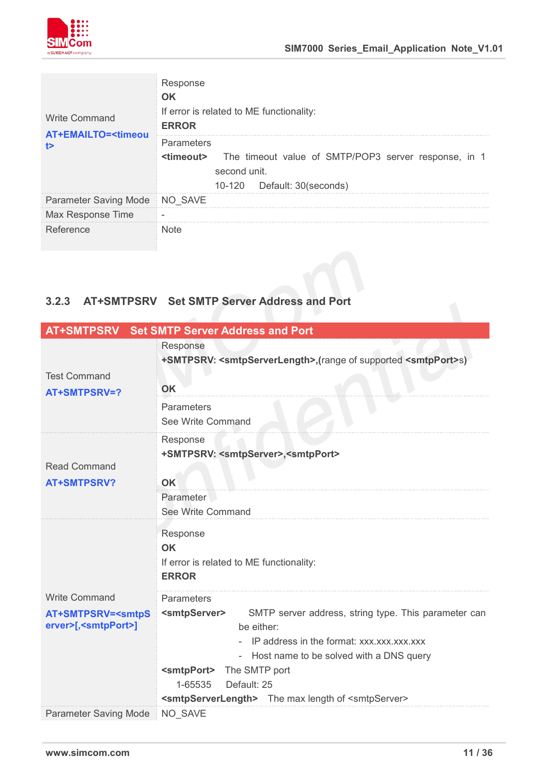

|                                                      | Response                                                                                                                                |
|------------------------------------------------------|-----------------------------------------------------------------------------------------------------------------------------------------|
|                                                      | OK                                                                                                                                      |
| <b>Write Command</b>                                 | If error is related to ME functionality:<br><b>ERROR</b>                                                                                |
| <b>AT+EMAILTO=<timeou< b=""><br/>t&gt;</timeou<></b> | Parameters<br><timeout> The timeout value of SMTP/POP3 server response, in 1<br/>second unit.<br/>10-120 Default: 30(seconds)</timeout> |
| Parameter Saving Mode NO_SAVE                        |                                                                                                                                         |
| Max Response Time                                    |                                                                                                                                         |
| Reference                                            | Note                                                                                                                                    |

## **3.2.3 AT+SMTPSRV Set SMTP Server Address and Port**

|                                                                                            | AT+SMTPSRV Set SMTP Server Address and Port                                                                                                                                                                                                                                                                                                                                 |
|--------------------------------------------------------------------------------------------|-----------------------------------------------------------------------------------------------------------------------------------------------------------------------------------------------------------------------------------------------------------------------------------------------------------------------------------------------------------------------------|
| <b>Test Command</b><br>AT+SMTPSRV=?                                                        | Response<br>+SMTPSRV: <smtpserverlength>,(range of supported <smtpport>s)<br/>OK<br/>Parameters<br/>See Write Command</smtpport></smtpserverlength>                                                                                                                                                                                                                         |
| <b>Read Command</b><br><b>AT+SMTPSRV?</b>                                                  | Response<br>+SMTPSRV: <smtpserver>,<smtpport><br/>OK<br/>Parameter<br/>See Write Command</smtpport></smtpserver>                                                                                                                                                                                                                                                            |
|                                                                                            | Response<br><b>OK</b><br>If error is related to ME functionality:<br><b>ERROR</b>                                                                                                                                                                                                                                                                                           |
| <b>Write Command</b><br>AT+SMTPSRV= <smtps<br>erver&gt;[,<smtpport>]</smtpport></smtps<br> | Parameters<br><smtpserver><br/>SMTP server address, string type. This parameter can<br/>be either:<br/>- IP address in the format: xxx.xxx.xxx.xxx<br/>- Host name to be solved with a DNS query<br/><smtpport><br/>The SMTP port<br/>1-65535<br/>Default: 25<br/><smtpserverlength> The max length of <smtpserver></smtpserver></smtpserverlength></smtpport></smtpserver> |
| <b>Parameter Saving Mode</b>                                                               | NO_SAVE                                                                                                                                                                                                                                                                                                                                                                     |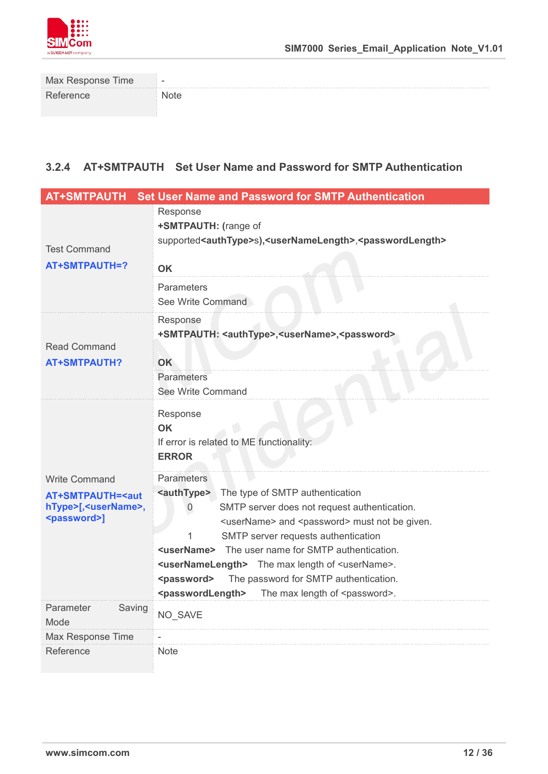

| Max Response Time | $\overline{\phantom{a}}$ |
|-------------------|--------------------------|
| Reference         | Note                     |

#### **3.2.4 AT+SMTPAUTH Set User Name and Password for SMTP Authentication**

| <b>AT+SMTPAUTH</b>                                                                                                             | <b>Set User Name and Password for SMTP Authentication</b>                                                                                                                                                                                                                                                                                                                                                                                                                                                                                                         |
|--------------------------------------------------------------------------------------------------------------------------------|-------------------------------------------------------------------------------------------------------------------------------------------------------------------------------------------------------------------------------------------------------------------------------------------------------------------------------------------------------------------------------------------------------------------------------------------------------------------------------------------------------------------------------------------------------------------|
| <b>Test Command</b><br>AT+SMTPAUTH=?                                                                                           | Response<br>+SMTPAUTH: (range of<br>supported <authtype>s),<usernamelength>,<passwordlength><br/><b>OK</b></passwordlength></usernamelength></authtype>                                                                                                                                                                                                                                                                                                                                                                                                           |
|                                                                                                                                | Parameters<br>See Write Command                                                                                                                                                                                                                                                                                                                                                                                                                                                                                                                                   |
| <b>Read Command</b><br><b>AT+SMTPAUTH?</b>                                                                                     | Response<br>+SMTPAUTH: <authtype>,<username>,<password><br/><b>OK</b><br/>Parameters<br/>See Write Command</password></username></authtype>                                                                                                                                                                                                                                                                                                                                                                                                                       |
| <b>Write Command</b><br><b>AT+SMTPAUTH=<aut< b=""><br/>hType&gt;[,<username>,<br/><password>]</password></username></aut<></b> | Response<br><b>OK</b><br>If error is related to ME functionality:<br><b>ERROR</b>                                                                                                                                                                                                                                                                                                                                                                                                                                                                                 |
|                                                                                                                                | <b>Parameters</b><br><authtype> The type of SMTP authentication<br/>SMTP server does not request authentication.<br/>0<br/><username> and <password> must not be given.<br/>SMTP server requests authentication<br/>1<br/>The user name for SMTP authentication.<br/><username><br/><usernamelength> The max length of <username>.<br/>The password for SMTP authentication.<br/><password><br/><passwordlength><br/>The max length of <password>.</password></passwordlength></password></username></usernamelength></username></password></username></authtype> |
| Parameter<br>Saving<br>Mode                                                                                                    | NO_SAVE                                                                                                                                                                                                                                                                                                                                                                                                                                                                                                                                                           |
| Max Response Time                                                                                                              |                                                                                                                                                                                                                                                                                                                                                                                                                                                                                                                                                                   |
| Reference                                                                                                                      | <b>Note</b>                                                                                                                                                                                                                                                                                                                                                                                                                                                                                                                                                       |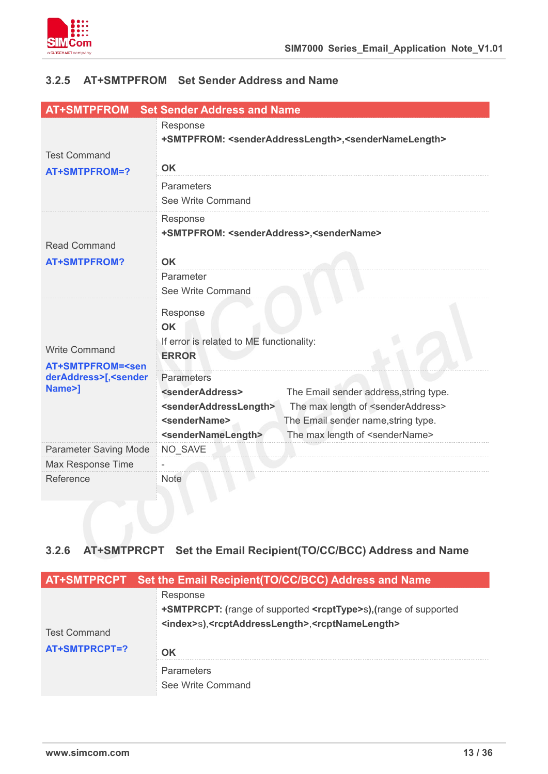

#### **3.2.5 AT+SMTPFROM Set Sender Address and Name**

| <b>AT+SMTPFROM</b>                                                  | <b>Set Sender Address and Name</b>                                   |                                                                                              |  |
|---------------------------------------------------------------------|----------------------------------------------------------------------|----------------------------------------------------------------------------------------------|--|
|                                                                     | Response                                                             | +SMTPFROM: <senderaddresslength>,<sendernamelength></sendernamelength></senderaddresslength> |  |
| <b>Test Command</b>                                                 |                                                                      |                                                                                              |  |
| AT+SMTPFROM=?                                                       | <b>OK</b>                                                            |                                                                                              |  |
|                                                                     | Parameters<br>See Write Command                                      |                                                                                              |  |
|                                                                     | Response                                                             |                                                                                              |  |
| <b>Read Command</b>                                                 | +SMTPFROM: <senderaddress>,<sendername></sendername></senderaddress> |                                                                                              |  |
| <b>AT+SMTPFROM?</b>                                                 | <b>OK</b>                                                            |                                                                                              |  |
|                                                                     | Parameter                                                            |                                                                                              |  |
|                                                                     | See Write Command                                                    |                                                                                              |  |
|                                                                     | Response                                                             |                                                                                              |  |
|                                                                     | <b>OK</b>                                                            |                                                                                              |  |
| <b>Write Command</b><br><b>AT+SMTPFROM=<sen< b=""></sen<></b>       | If error is related to ME functionality:<br><b>ERROR</b>             |                                                                                              |  |
| derAddress>[, <sender< td=""><td>Parameters</td><td></td></sender<> | Parameters                                                           |                                                                                              |  |
| Name>]                                                              | <senderaddress></senderaddress>                                      | The Email sender address, string type.                                                       |  |
|                                                                     | <senderaddresslength></senderaddresslength>                          | The max length of <senderaddress></senderaddress>                                            |  |
|                                                                     | <sendername></sendername>                                            | The Email sender name, string type.                                                          |  |
|                                                                     | <sendernamelength></sendernamelength>                                | The max length of <sendername></sendername>                                                  |  |
| <b>Parameter Saving Mode</b>                                        | NO_SAVE                                                              |                                                                                              |  |
| Max Response Time                                                   |                                                                      |                                                                                              |  |
| Reference                                                           | <b>Note</b>                                                          |                                                                                              |  |
|                                                                     |                                                                      |                                                                                              |  |

#### **3.2.6 AT+SMTPRCPT Set the Email Recipient(TO/CC/BCC) Address and Name**

|                     | AT+SMTPRCPT Set the Email Recipient(TO/CC/BCC) Address and Name                             |
|---------------------|---------------------------------------------------------------------------------------------|
|                     | Response                                                                                    |
|                     | <b>+SMTPRCPT:</b> (range of supported <b><rcpttype>s</rcpttype></b> ), (range of supported  |
| <b>Test Command</b> | <index>s),<rcptaddresslength>,<rcptnamelength></rcptnamelength></rcptaddresslength></index> |
| AT+SMTPRCPT=?       | OK                                                                                          |
|                     | <b>Parameters</b><br>See Write Command                                                      |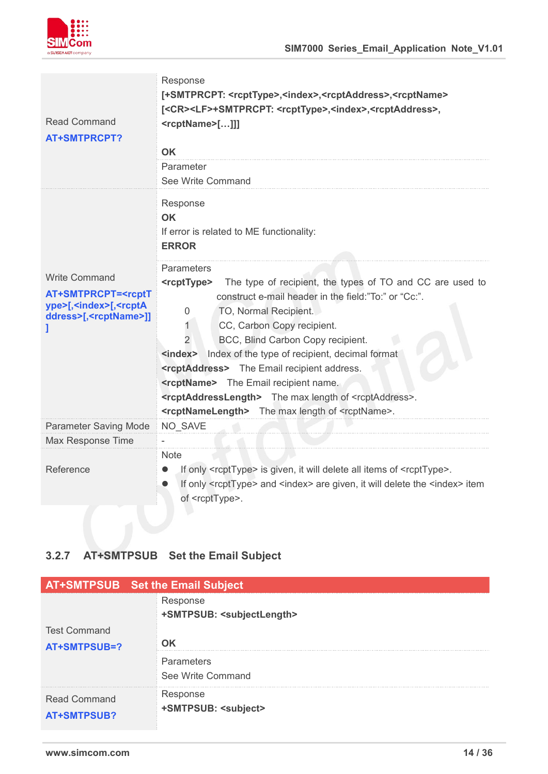

| <b>Read Command</b><br><b>AT+SMTPRCPT?</b>                                                                                                   | Response<br>[+SMTPRCPT: <rcpttype>,<index>,<rcptaddress>,<rcptname><br/>[<cr><lf>+SMTPRCPT: <rcpttype>,<index>,<rcptaddress>,<br/><rcptname>[]]]<br/><b>OK</b><br/>Parameter<br/>See Write Command</rcptname></rcptaddress></index></rcpttype></lf></cr></rcptname></rcptaddress></index></rcpttype>                                                                                                                                                                                                                                                                                                                                                                                                                                                    |  |
|----------------------------------------------------------------------------------------------------------------------------------------------|---------------------------------------------------------------------------------------------------------------------------------------------------------------------------------------------------------------------------------------------------------------------------------------------------------------------------------------------------------------------------------------------------------------------------------------------------------------------------------------------------------------------------------------------------------------------------------------------------------------------------------------------------------------------------------------------------------------------------------------------------------|--|
| <b>Write Command</b><br>AT+SMTPRCPT= <rcptt<br>ype&gt;[,<index>[,<rcpta<br>ddress&gt;[,<rcptname>]]</rcptname></rcpta<br></index></rcptt<br> | Response<br><b>OK</b><br>If error is related to ME functionality:<br><b>ERROR</b><br>Parameters<br><rcpttype><br/>The type of recipient, the types of TO and CC are used to<br/>construct e-mail header in the field:"To:" or "Cc:".<br/>TO, Normal Recipient.<br/>0<br/>CC, Carbon Copy recipient.<br/><math>\overline{2}</math><br/>BCC, Blind Carbon Copy recipient.<br/>Index of the type of recipient, decimal format<br/><math>index</math><br/><rcptaddress> The Email recipient address.<br/><rcptname> The Email recipient name.<br/><rcptaddresslength> The max length of <rcptaddress>.<br/><rcptnamelength> The max length of <rcptname>.</rcptname></rcptnamelength></rcptaddress></rcptaddresslength></rcptname></rcptaddress></rcpttype> |  |
| <b>Parameter Saving Mode</b>                                                                                                                 | NO_SAVE                                                                                                                                                                                                                                                                                                                                                                                                                                                                                                                                                                                                                                                                                                                                                 |  |
| Max Response Time                                                                                                                            |                                                                                                                                                                                                                                                                                                                                                                                                                                                                                                                                                                                                                                                                                                                                                         |  |
| Reference                                                                                                                                    | <b>Note</b><br>If only <rcpttype> is given, it will delete all items of <rcpttype>.<br/>If only <rcpttype> and <index> are given, it will delete the <index> item<br/>of <rcpttype>.</rcpttype></index></index></rcpttype></rcpttype></rcpttype>                                                                                                                                                                                                                                                                                                                                                                                                                                                                                                        |  |

#### **3.2.7 AT+SMTPSUB Set the Email Subject**

|                                           | <b>AT+SMTPSUB</b> Set the Email Subject                      |
|-------------------------------------------|--------------------------------------------------------------|
| <b>Test Command</b><br>AT+SMTPSUB=?       | Response<br>+SMTPSUB: <subjectlength><br/>OK</subjectlength> |
|                                           | <b>Parameters</b><br>See Write Command                       |
| <b>Read Command</b><br><b>AT+SMTPSUB?</b> | Response<br>+SMTPSUB: <subject></subject>                    |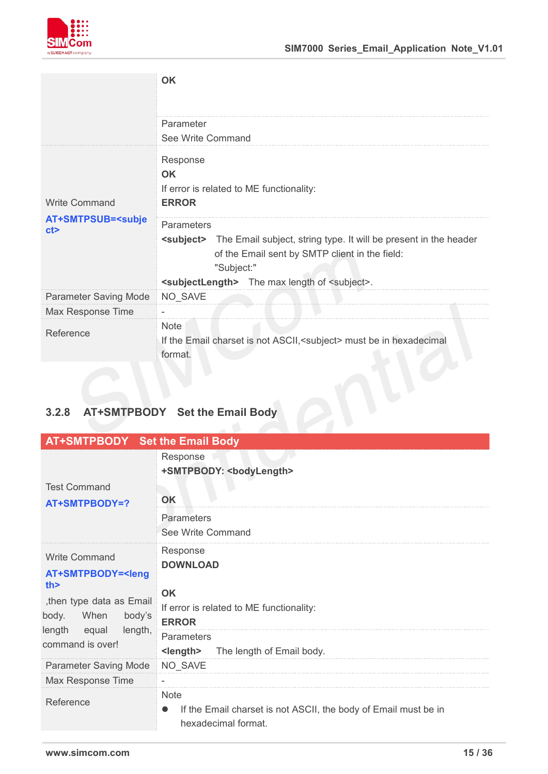

|                                                                         | <b>OK</b>                                                                                                                                                                                                                                       |
|-------------------------------------------------------------------------|-------------------------------------------------------------------------------------------------------------------------------------------------------------------------------------------------------------------------------------------------|
|                                                                         | Parameter<br>See Write Command                                                                                                                                                                                                                  |
| <b>Write Command</b><br><b>AT+SMTPSUB=<subje< b=""><br/>ct</subje<></b> | Response<br><b>OK</b><br>If error is related to ME functionality:<br><b>ERROR</b>                                                                                                                                                               |
|                                                                         | Parameters<br><subject> The Email subject, string type. It will be present in the header<br/>of the Email sent by SMTP client in the field:<br/>"Subject:"<br/><subjectlength> The max length of <subject>.</subject></subjectlength></subject> |
| <b>Parameter Saving Mode</b>                                            | NO_SAVE                                                                                                                                                                                                                                         |
| Max Response Time                                                       |                                                                                                                                                                                                                                                 |
| Reference                                                               | <b>Note</b><br>If the Email charset is not ASCII, <subject> must be in hexadecimal<br/>format.</subject>                                                                                                                                        |
|                                                                         |                                                                                                                                                                                                                                                 |

#### **3.2.8 AT+SMTPBODY Set the Email Body**

| Response<br>+SMTPBODY: <bodylength><br/><b>Test Command</b><br/>OK<br/>AT+SMTPBODY=?<br/>Parameters<br/>See Write Command<br/>Response<br/><b>Write Command</b><br/><b>DOWNLOAD</b><br/>AT+SMTPBODY=<leng<br>th<br/><b>OK</b><br/>,then type data as Email<br/>If error is related to ME functionality:<br/>When<br/>body's<br/><b>ERROR</b><br/>length,<br/>equal<br/>Parameters<br/><length> The length of Email body.<br/>NO_SAVE<br/><b>Parameter Saving Mode</b><br/>Max Response Time<br/><b>Note</b><br/>Reference<br/>If the Email charset is not ASCII, the body of Email must be in<br/>hexadecimal format.</length></leng<br></bodylength> | <b>AT+SMTPBODY</b> Set the Email Body |  |
|-------------------------------------------------------------------------------------------------------------------------------------------------------------------------------------------------------------------------------------------------------------------------------------------------------------------------------------------------------------------------------------------------------------------------------------------------------------------------------------------------------------------------------------------------------------------------------------------------------------------------------------------------------|---------------------------------------|--|
|                                                                                                                                                                                                                                                                                                                                                                                                                                                                                                                                                                                                                                                       |                                       |  |
| body.<br>length                                                                                                                                                                                                                                                                                                                                                                                                                                                                                                                                                                                                                                       |                                       |  |
| command is over!                                                                                                                                                                                                                                                                                                                                                                                                                                                                                                                                                                                                                                      |                                       |  |
|                                                                                                                                                                                                                                                                                                                                                                                                                                                                                                                                                                                                                                                       |                                       |  |
|                                                                                                                                                                                                                                                                                                                                                                                                                                                                                                                                                                                                                                                       |                                       |  |
|                                                                                                                                                                                                                                                                                                                                                                                                                                                                                                                                                                                                                                                       |                                       |  |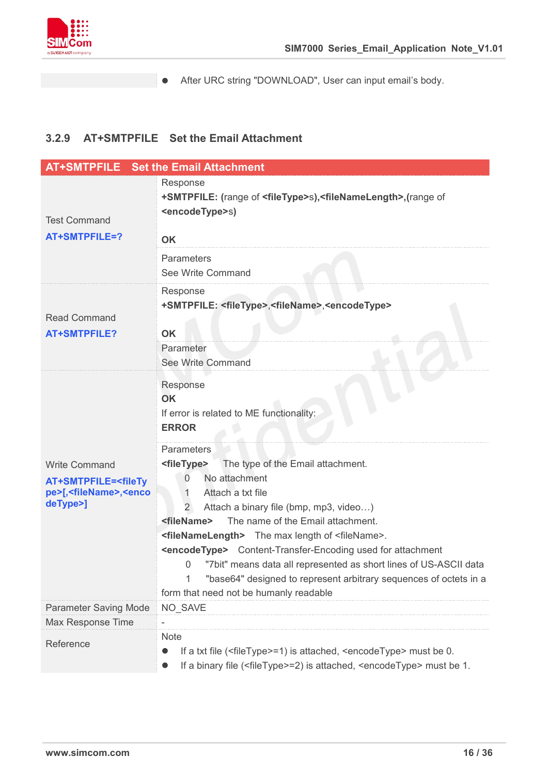

After URC string "DOWNLOAD", User can input email's body.

#### **3.2.9 AT+SMTPFILE Set the Email Attachment**

| <b>AT+SMTPFILE</b> Set the Email Attachment                                                                                          |                                                                                                                                                                                                                                                                                                                                                                                                                                                                                                                                                                                                                                                                                                                                             |  |
|--------------------------------------------------------------------------------------------------------------------------------------|---------------------------------------------------------------------------------------------------------------------------------------------------------------------------------------------------------------------------------------------------------------------------------------------------------------------------------------------------------------------------------------------------------------------------------------------------------------------------------------------------------------------------------------------------------------------------------------------------------------------------------------------------------------------------------------------------------------------------------------------|--|
| <b>Test Command</b><br>AT+SMTPFILE=?                                                                                                 | Response<br>+SMTPFILE: (range of <filetype>s),<filenamelength>,(range of<br/><encodetype>s)<br/><b>OK</b><br/>Parameters<br/>See Write Command</encodetype></filenamelength></filetype>                                                                                                                                                                                                                                                                                                                                                                                                                                                                                                                                                     |  |
| <b>Read Command</b><br><b>AT+SMTPFILE?</b>                                                                                           | Response<br>+SMTPFILE: <filetype>,<filename>,<encodetype><br/><b>OK</b><br/>Parameter<br/>See Write Command</encodetype></filename></filetype>                                                                                                                                                                                                                                                                                                                                                                                                                                                                                                                                                                                              |  |
| <b>Write Command</b><br><b>AT+SMTPFILE=<filety< b=""><br/>pe&gt;[,<filename>,<enco<br>deType&gt;]</enco<br></filename></filety<></b> | Response<br><b>OK</b><br>If error is related to ME functionality:<br><b>ERROR</b><br>Parameters<br><filetype><br/>The type of the Email attachment.<br/>No attachment<br/><math>\Omega</math><br/>Attach a txt file<br/>1<br/>Attach a binary file (bmp, mp3, video)<br/><math>\overline{2}</math><br/>The name of the Email attachment.<br/><filename><br/><filenamelength> The max length of <filename>.<br/><encodetype> Content-Transfer-Encoding used for attachment<br/>"7bit" means data all represented as short lines of US-ASCII data<br/>0<br/>"base64" designed to represent arbitrary sequences of octets in a<br/>1<br/>form that need not be humanly readable</encodetype></filename></filenamelength></filename></filetype> |  |
| <b>Parameter Saving Mode</b>                                                                                                         | NO_SAVE                                                                                                                                                                                                                                                                                                                                                                                                                                                                                                                                                                                                                                                                                                                                     |  |
| Max Response Time                                                                                                                    |                                                                                                                                                                                                                                                                                                                                                                                                                                                                                                                                                                                                                                                                                                                                             |  |
| Reference                                                                                                                            | <b>Note</b><br>If a txt file ( <filetype>=1) is attached, <encodetype> must be 0.<br/>If a binary file (<filetype>=2) is attached, <encodetype> must be 1.</encodetype></filetype></encodetype></filetype>                                                                                                                                                                                                                                                                                                                                                                                                                                                                                                                                  |  |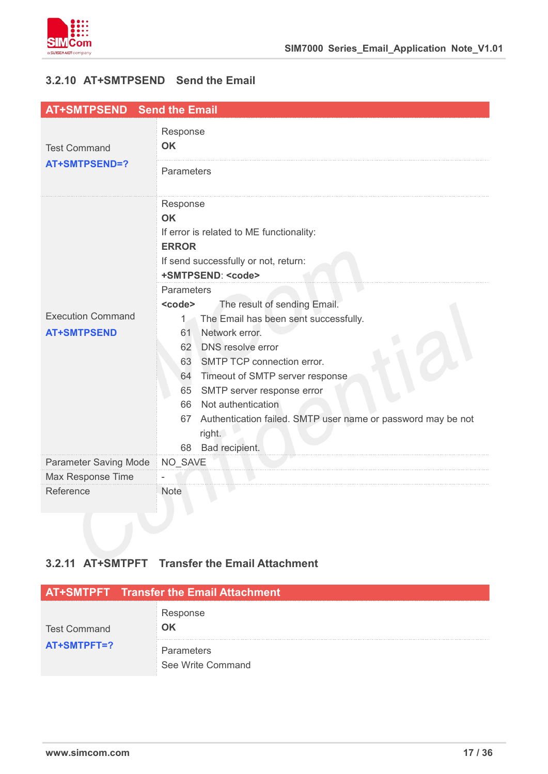

#### **3.2.10 AT+SMTPSEND Send the Email**

| <b>AT+SMTPSEND</b> Send the Email              |                                                                                                                                                                                                                                                                                                                                                                                                                                                                                                                                                                                                         |
|------------------------------------------------|---------------------------------------------------------------------------------------------------------------------------------------------------------------------------------------------------------------------------------------------------------------------------------------------------------------------------------------------------------------------------------------------------------------------------------------------------------------------------------------------------------------------------------------------------------------------------------------------------------|
| <b>Test Command</b>                            | Response<br><b>OK</b>                                                                                                                                                                                                                                                                                                                                                                                                                                                                                                                                                                                   |
| <b>AT+SMTPSEND=?</b>                           | Parameters                                                                                                                                                                                                                                                                                                                                                                                                                                                                                                                                                                                              |
| <b>Execution Command</b><br><b>AT+SMTPSEND</b> | Response<br><b>OK</b><br>If error is related to ME functionality:<br><b>ERROR</b><br>If send successfully or not, return:<br>+SMTPSEND: <code><br/>Parameters<br/>The result of sending Email.<br/><code><br/>The Email has been sent successfully.<br/><math>1 -</math><br/>Network error.<br/>61<br/>DNS resolve error<br/>62<br/>63 SMTP TCP connection error.<br/>Timeout of SMTP server response<br/>64<br/>65 SMTP server response error<br/>Not authentication<br/>66<br/>Authentication failed. SMTP user name or password may be not<br/>67<br/>right.<br/>Bad recipient.<br/>68</code></code> |
| <b>Parameter Saving Mode</b>                   | NO_SAVE                                                                                                                                                                                                                                                                                                                                                                                                                                                                                                                                                                                                 |
| Max Response Time                              |                                                                                                                                                                                                                                                                                                                                                                                                                                                                                                                                                                                                         |
| Reference                                      | <b>Note</b>                                                                                                                                                                                                                                                                                                                                                                                                                                                                                                                                                                                             |

#### **3.2.11 AT+SMTPFT Transfer the Email Attachment**

|                     | <b>AT+SMTPFT</b> Transfer the Email Attachment |
|---------------------|------------------------------------------------|
| <b>Test Command</b> | Response<br>OК                                 |
| AT+SMTPFT=?         | <b>Parameters</b><br>See Write Command         |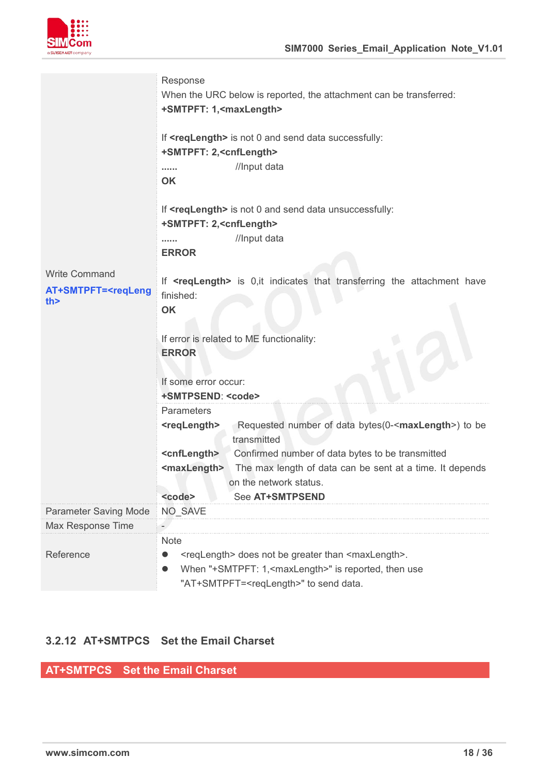

| <b>Write Command</b><br>AT+SMTPFT= <reqleng<br>th<math>&gt;</math></reqleng<br> | Response<br>When the URC below is reported, the attachment can be transferred:<br>+SMTPFT: 1, <maxlength><br/>If <reqlength> is not 0 and send data successfully:<br/>+SMTPFT: 2,<cnflength><br/>//Input data<br/>.<br/>OK<br/>If <reqlength> is not 0 and send data unsuccessfully:<br/>+SMTPFT: 2,<cnflength><br/>//Input data<br/><b>ERROR</b><br/>If <reqlength> is 0, it indicates that transferring the attachment have<br/>finished:<br/>OK<br/>If error is related to ME functionality:<br/><b>ERROR</b><br/>If some error occur:<br/>+SMTPSEND: <code><br/>Parameters<br/>Requested number of data bytes(0-<maxlength>) to be<br/><reqlength><br/>transmitted<br/><cnflength><br/>Confirmed number of data bytes to be transmitted<br/>The max length of data can be sent at a time. It depends<br/><maxlength></maxlength></cnflength></reqlength></maxlength></code></reqlength></cnflength></reqlength></cnflength></reqlength></maxlength> |
|---------------------------------------------------------------------------------|---------------------------------------------------------------------------------------------------------------------------------------------------------------------------------------------------------------------------------------------------------------------------------------------------------------------------------------------------------------------------------------------------------------------------------------------------------------------------------------------------------------------------------------------------------------------------------------------------------------------------------------------------------------------------------------------------------------------------------------------------------------------------------------------------------------------------------------------------------------------------------------------------------------------------------------------------------|
|                                                                                 | on the network status.<br>See AT+SMTPSEND<br><code></code>                                                                                                                                                                                                                                                                                                                                                                                                                                                                                                                                                                                                                                                                                                                                                                                                                                                                                              |
| <b>Parameter Saving Mode</b>                                                    | NO_SAVE                                                                                                                                                                                                                                                                                                                                                                                                                                                                                                                                                                                                                                                                                                                                                                                                                                                                                                                                                 |
| Max Response Time                                                               |                                                                                                                                                                                                                                                                                                                                                                                                                                                                                                                                                                                                                                                                                                                                                                                                                                                                                                                                                         |
| Reference                                                                       | <b>Note</b><br><reqlength> does not be greater than <maxlength>.<br/>When "+SMTPFT: 1,<maxlength>" is reported, then use<br/>"AT+SMTPFT=<reqlength>" to send data.</reqlength></maxlength></maxlength></reqlength>                                                                                                                                                                                                                                                                                                                                                                                                                                                                                                                                                                                                                                                                                                                                      |

#### **3.2.12 AT+SMTPCS Set the Email Charset**

#### **AT+SMTPCS Set the Email Charset**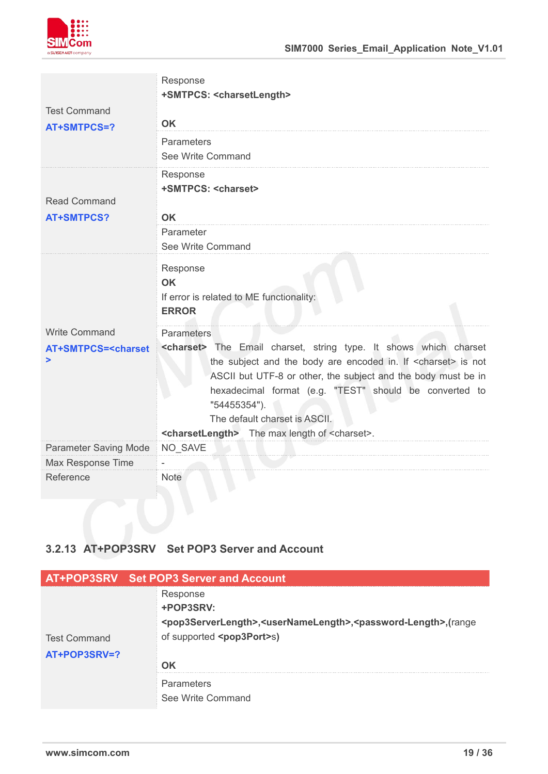

| <b>Test Command</b><br>AT+SMTPCS=?                                  | Response<br>+SMTPCS: <charsetlength><br/><b>OK</b><br/>Parameters<br/>See Write Command</charsetlength>                                                                                                                                                                                                                                                                                                                        |  |
|---------------------------------------------------------------------|--------------------------------------------------------------------------------------------------------------------------------------------------------------------------------------------------------------------------------------------------------------------------------------------------------------------------------------------------------------------------------------------------------------------------------|--|
| <b>Read Command</b><br><b>AT+SMTPCS?</b>                            | Response<br>+SMTPCS: <charset><br/><b>OK</b><br/>Parameter<br/>See Write Command</charset>                                                                                                                                                                                                                                                                                                                                     |  |
|                                                                     | Response<br><b>OK</b><br>If error is related to ME functionality:<br><b>ERROR</b>                                                                                                                                                                                                                                                                                                                                              |  |
| <b>Write Command</b><br><b>AT+SMTPCS=<charset< b=""></charset<></b> | Parameters<br><charset> The Email charset, string type. It shows which charset<br/>the subject and the body are encoded in. If <charset> is not<br/>ASCII but UTF-8 or other, the subject and the body must be in<br/>hexadecimal format (e.g. "TEST" should be converted to<br/>"54455354").<br/>The default charset is ASCII.<br/><charsetlength> The max length of <charset>.</charset></charsetlength></charset></charset> |  |
| <b>Parameter Saving Mode</b>                                        | NO_SAVE                                                                                                                                                                                                                                                                                                                                                                                                                        |  |
| Max Response Time                                                   |                                                                                                                                                                                                                                                                                                                                                                                                                                |  |
| Reference                                                           | <b>Note</b>                                                                                                                                                                                                                                                                                                                                                                                                                    |  |

#### **3.2.13 AT+POP3SRV Set POP3 Server and Account**

|                     | AT+POP3SRV Set POP3 Server and Account                                                                             |
|---------------------|--------------------------------------------------------------------------------------------------------------------|
|                     | Response                                                                                                           |
|                     | +POP3SRV:                                                                                                          |
|                     | <pop3serverlength>,<usernamelength>,<password-length>,(range</password-length></usernamelength></pop3serverlength> |
| <b>Test Command</b> | of supported <pop3port>s)</pop3port>                                                                               |
| AT+POP3SRV=?        |                                                                                                                    |
|                     | OK                                                                                                                 |
|                     | <b>Parameters</b>                                                                                                  |
|                     | See Write Command                                                                                                  |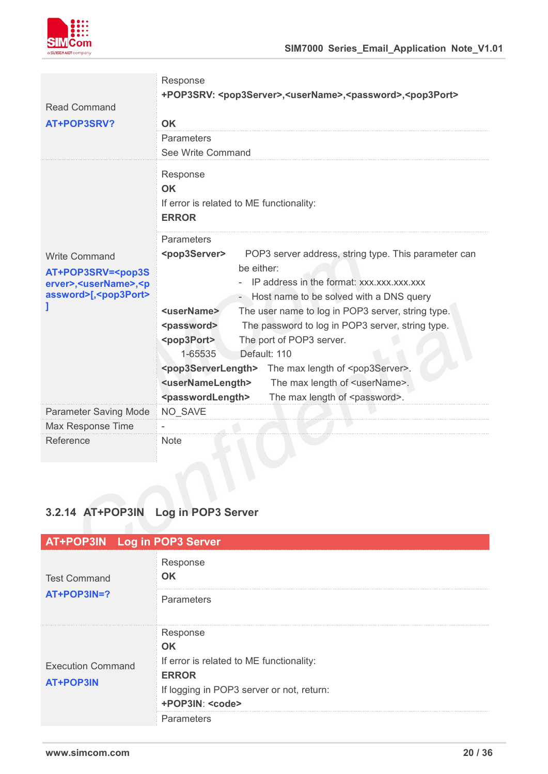

| <b>Read Command</b><br>AT+POP3SRV?                                                                                                       | Response<br>+POP3SRV: <pop3server>,<username>,<password>,<pop3port><br/><b>OK</b><br/>Parameters<br/>See Write Command</pop3port></password></username></pop3server>                                                                                                                                                                                                                                                                                                                                                                                                                                                                                                                                                        |
|------------------------------------------------------------------------------------------------------------------------------------------|-----------------------------------------------------------------------------------------------------------------------------------------------------------------------------------------------------------------------------------------------------------------------------------------------------------------------------------------------------------------------------------------------------------------------------------------------------------------------------------------------------------------------------------------------------------------------------------------------------------------------------------------------------------------------------------------------------------------------------|
|                                                                                                                                          | Response<br><b>OK</b><br>If error is related to ME functionality:<br><b>ERROR</b>                                                                                                                                                                                                                                                                                                                                                                                                                                                                                                                                                                                                                                           |
| <b>Write Command</b><br>AT+POP3SRV= <pop3s<br>erver&gt;,<username>,<p<br>assword&gt;[,<pop3port></pop3port></p<br></username></pop3s<br> | Parameters<br><pop3server><br/>POP3 server address, string type. This parameter can<br/>be either:<br/>IP address in the format: xxx.xxx.xxx.xxx<br/>- Host name to be solved with a DNS query<br/><username><br/>The user name to log in POP3 server, string type.<br/>The password to log in POP3 server, string type.<br/><password><br/><pop3port><br/>The port of POP3 server.<br/>1-65535<br/>Default: 110<br/><pop3serverlength> The max length of <pop3server>.<br/><usernamelength><br/>The max length of <username>.<br/>The max length of <password>.<br/><passwordlength></passwordlength></password></username></usernamelength></pop3server></pop3serverlength></pop3port></password></username></pop3server> |
| <b>Parameter Saving Mode</b>                                                                                                             | NO_SAVE                                                                                                                                                                                                                                                                                                                                                                                                                                                                                                                                                                                                                                                                                                                     |
| Max Response Time                                                                                                                        |                                                                                                                                                                                                                                                                                                                                                                                                                                                                                                                                                                                                                                                                                                                             |
| Reference                                                                                                                                | <b>Note</b>                                                                                                                                                                                                                                                                                                                                                                                                                                                                                                                                                                                                                                                                                                                 |

### **3.2.14 AT+POP3IN Log in POP3 Server**

|                                              | <b>AT+POP3IN Log in POP3 Server</b>                                                                                                                                            |
|----------------------------------------------|--------------------------------------------------------------------------------------------------------------------------------------------------------------------------------|
| <b>Test Command</b>                          | Response<br><b>OK</b>                                                                                                                                                          |
| AT+POP3IN=?                                  | <b>Parameters</b>                                                                                                                                                              |
| <b>Execution Command</b><br><b>AT+POP3IN</b> | Response<br><b>OK</b><br>If error is related to ME functionality:<br><b>ERROR</b><br>If logging in POP3 server or not, return:<br>+POP3IN: <code><br/><b>Parameters</b></code> |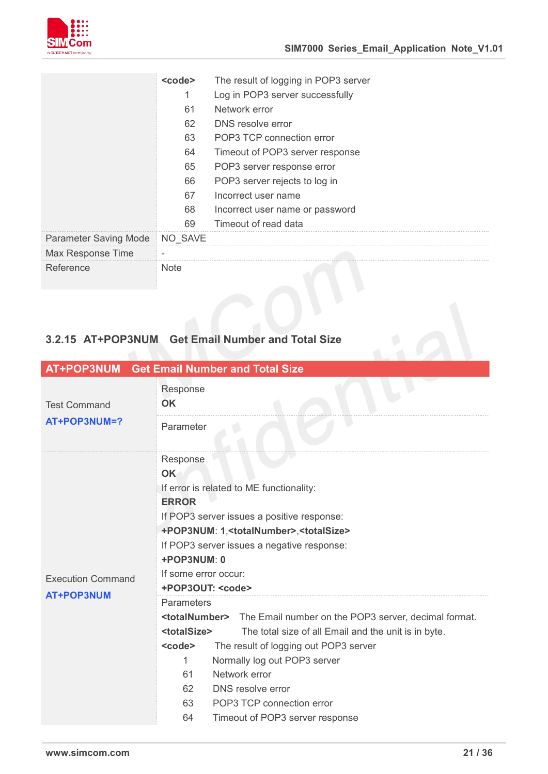

|                              | <code></code> | The result of logging in POP3 server |
|------------------------------|---------------|--------------------------------------|
|                              | 1             | Log in POP3 server successfully      |
|                              | 61            | Network error                        |
|                              | 62            | DNS resolve error                    |
|                              | 63            | POP3 TCP connection error            |
|                              | 64            | Timeout of POP3 server response      |
|                              | 65            | POP3 server response error           |
|                              | 66            | POP3 server rejects to log in        |
|                              | 67            | Incorrect user name                  |
|                              | 68            | Incorrect user name or password      |
|                              | 69            | Timeout of read data                 |
| <b>Parameter Saving Mode</b> | NO SAVE       |                                      |
| Max Response Time            |               |                                      |
| Reference                    | <b>Note</b>   |                                      |

#### **3.2.15 AT+POP3NUM Get Email Number and Total Size**

|                                     | AT+POP3NUM Get Email Number and Total Size                                                                                                                                                                                                                                                                                                                                                                                                                |  |  |  |  |  |  |  |
|-------------------------------------|-----------------------------------------------------------------------------------------------------------------------------------------------------------------------------------------------------------------------------------------------------------------------------------------------------------------------------------------------------------------------------------------------------------------------------------------------------------|--|--|--|--|--|--|--|
| <b>Test Command</b><br>AT+POP3NUM=? | Response<br><b>OK</b>                                                                                                                                                                                                                                                                                                                                                                                                                                     |  |  |  |  |  |  |  |
|                                     | Parameter                                                                                                                                                                                                                                                                                                                                                                                                                                                 |  |  |  |  |  |  |  |
| <b>Execution Command</b>            | Response<br><b>OK</b><br>If error is related to ME functionality:<br><b>ERROR</b><br>If POP3 server issues a positive response:<br>+POP3NUM: 1, <totalnumber>,<totalsize><br/>If POP3 server issues a negative response:<br/>+POP3NUM: 0<br/>If some error occur:</totalsize></totalnumber>                                                                                                                                                               |  |  |  |  |  |  |  |
| <b>AT+POP3NUM</b>                   | +POP3OUT: <code><br/>Parameters<br/><totalnumber> The Email number on the POP3 server, decimal format.<br/><totalsize><br/>The total size of all Email and the unit is in byte.<br/><code><br/>The result of logging out POP3 server<br/>1<br/>Normally log out POP3 server<br/>Network error<br/>61<br/>62<br/>DNS resolve error<br/>POP3 TCP connection error<br/>63<br/>64<br/>Timeout of POP3 server response</code></totalsize></totalnumber></code> |  |  |  |  |  |  |  |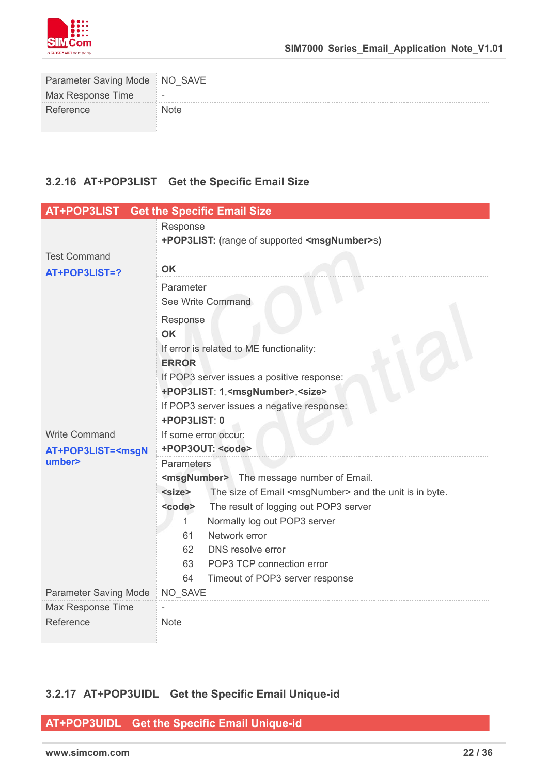

| Parameter Saving Mode NO_SAVE |      |
|-------------------------------|------|
| Max Response Time             |      |
| Reference                     | Note |

#### **3.2.16 AT+POP3LIST Get the Specific Email Size**

| AT+POP3LIST                                                                    | <b>Get the Specific Email Size</b>                                                                            |  |  |  |  |  |  |
|--------------------------------------------------------------------------------|---------------------------------------------------------------------------------------------------------------|--|--|--|--|--|--|
|                                                                                | Response                                                                                                      |  |  |  |  |  |  |
|                                                                                | +POP3LIST: (range of supported <msgnumber>s)</msgnumber>                                                      |  |  |  |  |  |  |
| <b>Test Command</b>                                                            | <b>OK</b>                                                                                                     |  |  |  |  |  |  |
| AT+POP3LIST=?                                                                  | Parameter                                                                                                     |  |  |  |  |  |  |
|                                                                                | See Write Command                                                                                             |  |  |  |  |  |  |
|                                                                                | Response                                                                                                      |  |  |  |  |  |  |
|                                                                                | <b>OK</b>                                                                                                     |  |  |  |  |  |  |
|                                                                                | If error is related to ME functionality:                                                                      |  |  |  |  |  |  |
|                                                                                | <b>ERROR</b>                                                                                                  |  |  |  |  |  |  |
|                                                                                | If POP3 server issues a positive response:                                                                    |  |  |  |  |  |  |
|                                                                                | +POP3LIST: 1, <msgnumber>,<size></size></msgnumber>                                                           |  |  |  |  |  |  |
|                                                                                | If POP3 server issues a negative response:                                                                    |  |  |  |  |  |  |
|                                                                                | +POP3LIST: 0                                                                                                  |  |  |  |  |  |  |
| <b>Write Command</b>                                                           | If some error occur:                                                                                          |  |  |  |  |  |  |
| AT+POP3LIST= <msgn< td=""><td colspan="7">+POP3OUT: <code></code></td></msgn<> | +POP3OUT: <code></code>                                                                                       |  |  |  |  |  |  |
| umber>                                                                         | Parameters                                                                                                    |  |  |  |  |  |  |
|                                                                                | <msgnumber> The message number of Email.</msgnumber>                                                          |  |  |  |  |  |  |
|                                                                                | The size of Email <msgnumber> and the unit is in byte.<br/><math>&lt;</math>size<math>&gt;</math></msgnumber> |  |  |  |  |  |  |
|                                                                                | The result of logging out POP3 server<br><code></code>                                                        |  |  |  |  |  |  |
|                                                                                | Normally log out POP3 server<br>1                                                                             |  |  |  |  |  |  |
|                                                                                | Network error<br>61                                                                                           |  |  |  |  |  |  |
|                                                                                | 62<br>DNS resolve error                                                                                       |  |  |  |  |  |  |
|                                                                                | 63<br>POP3 TCP connection error                                                                               |  |  |  |  |  |  |
|                                                                                | 64<br>Timeout of POP3 server response                                                                         |  |  |  |  |  |  |
| <b>Parameter Saving Mode</b>                                                   | NO_SAVE                                                                                                       |  |  |  |  |  |  |
| Max Response Time                                                              |                                                                                                               |  |  |  |  |  |  |
| Reference                                                                      | <b>Note</b>                                                                                                   |  |  |  |  |  |  |

#### **3.2.17 AT+POP3UIDL Get the Specific Email Unique-id**

**AT+POP3UIDL Get the Specific Email Unique-id**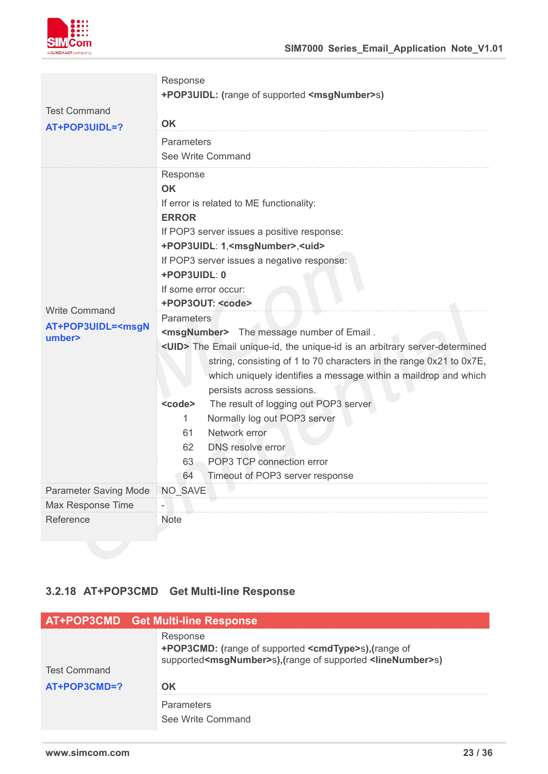

| See Write Command<br>Response<br><b>OK</b><br>If error is related to ME functionality:<br><b>ERROR</b><br>If POP3 server issues a positive response:<br>+POP3UIDL: 1, <msgnumber>,<uid><br/>If POP3 server issues a negative response:<br/>+POP3UIDL: 0<br/>If some error occur:<br/>+POP3OUT: <code><br/>Parameters<br/><msgnumber> The message number of Email.<br/>umber&gt;<br/>persists across sessions.<br/>The result of logging out POP3 server<br/><code><br/>Normally log out POP3 server<br/><math>\mathbf{1}</math><br/>Network error<br/>61<br/>62<br/>DNS resolve error<br/>POP3 TCP connection error<br/>63<br/>64<br/>Timeout of POP3 server response<br/>Parameter Saving Mode<br/>NO_SAVE<br/>Max Response Time<br/>Reference<br/><b>Note</b></code></msgnumber></code></uid></msgnumber> | <b>Test Command</b><br>AT+POP3UIDL=?                                                                                                                                                                                                                                                            | Response<br>+POP3UIDL: (range of supported <msgnumber>s)<br/><b>OK</b></msgnumber>                                                                                                                                           |
|-------------------------------------------------------------------------------------------------------------------------------------------------------------------------------------------------------------------------------------------------------------------------------------------------------------------------------------------------------------------------------------------------------------------------------------------------------------------------------------------------------------------------------------------------------------------------------------------------------------------------------------------------------------------------------------------------------------------------------------------------------------------------------------------------------------|-------------------------------------------------------------------------------------------------------------------------------------------------------------------------------------------------------------------------------------------------------------------------------------------------|------------------------------------------------------------------------------------------------------------------------------------------------------------------------------------------------------------------------------|
|                                                                                                                                                                                                                                                                                                                                                                                                                                                                                                                                                                                                                                                                                                                                                                                                             |                                                                                                                                                                                                                                                                                                 | Parameters                                                                                                                                                                                                                   |
|                                                                                                                                                                                                                                                                                                                                                                                                                                                                                                                                                                                                                                                                                                                                                                                                             | <b>Write Command</b><br>AT+POP3UIDL= <msgn< td=""><td><uid> The Email unique-id, the unique-id is an arbitrary server-determined<br/>string, consisting of 1 to 70 characters in the range 0x21 to 0x7E,<br/>which uniquely identifies a message within a maildrop and which</uid></td></msgn<> | <uid> The Email unique-id, the unique-id is an arbitrary server-determined<br/>string, consisting of 1 to 70 characters in the range 0x21 to 0x7E,<br/>which uniquely identifies a message within a maildrop and which</uid> |
|                                                                                                                                                                                                                                                                                                                                                                                                                                                                                                                                                                                                                                                                                                                                                                                                             |                                                                                                                                                                                                                                                                                                 |                                                                                                                                                                                                                              |
|                                                                                                                                                                                                                                                                                                                                                                                                                                                                                                                                                                                                                                                                                                                                                                                                             |                                                                                                                                                                                                                                                                                                 |                                                                                                                                                                                                                              |

#### **3.2.18 AT+POP3CMD Get Multi-line Response**

|                     | <b>AT+POP3CMD</b> Get Multi-line Response                                                                                                                                |
|---------------------|--------------------------------------------------------------------------------------------------------------------------------------------------------------------------|
| <b>Test Command</b> | Response<br><b>+POP3CMD:</b> (range of supported <cmdtype>s), (range of<br/>supported<msgnumber>s),(range of supported <linenumber>s)</linenumber></msgnumber></cmdtype> |
| AT+POP3CMD=?        | ΟK                                                                                                                                                                       |
|                     | <b>Parameters</b><br>See Write Command                                                                                                                                   |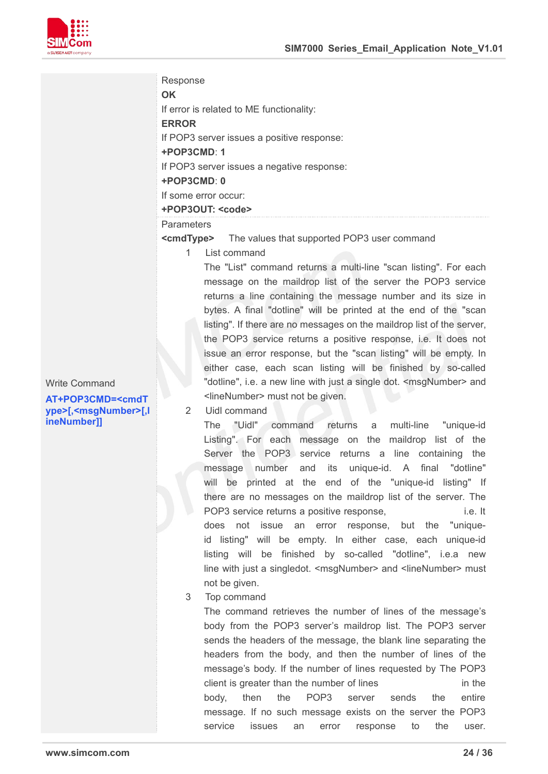

Response

**OK**

If error is related to ME functionality:

**ERROR**

If POP3 server issues a positive response:

**+POP3CMD**: **1**

If POP3 server issues a negative response:

**+POP3CMD**: **0**

If some error occur:

#### **+POP3OUT: <code>**

**Parameters** 

**<cmdType>** The values that supported POP3 user command

1 List command

The "List" command returns a multi-line "scan listing". For each message on the maildrop list of the server the POP3 service returns a line containing the message number and its size in bytes. A final "dotline" will be printed at the end of the "scan listing". If there are no messages on the maildrop list of the server, the POP3 service returns a positive response, i.e. It does not issue an error response, but the "scan listing" will be empty. In either case, each scan listing will be finished by so-called "dotline", i.e. a new line with just a single dot. <msgNumber> and <lineNumber> must not be given.

#### Uidl command

The "Uidl" command returns a multi-line "unique-id Listing". For each message on the maildrop list of the Server the POP3 service returns a line containing the message number and its unique-id. A final "dotline" will be printed at the end of the "unique-id listing" If there are no messages on the maildrop list of the server. The POP3 service returns a positive response, i.e. It does not issue an error response, but the "uniqueid listing" will be empty. In either case, each unique-id listing will be finished by so-called "dotline", i.e.a new line with just a singledot. <msgNumber> and <lineNumber> must not be given.

3 Top command

The command retrieves the number of lines of the message's body from the POP3 server's maildrop list. The POP3 server sends the headers of the message, the blank line separating the headers from the body, and then the number of lines of the message's body. If the number of lines requested by The POP3 client is greater than the number of lines in the body, then the POP3 server sends the entire message. If no such message exists on the server the POP3 service issues an error response to the user.

Write Command

**AT+POP3CMD=<cmdT ype>[,<msgNumber>[,l ineNumber]]**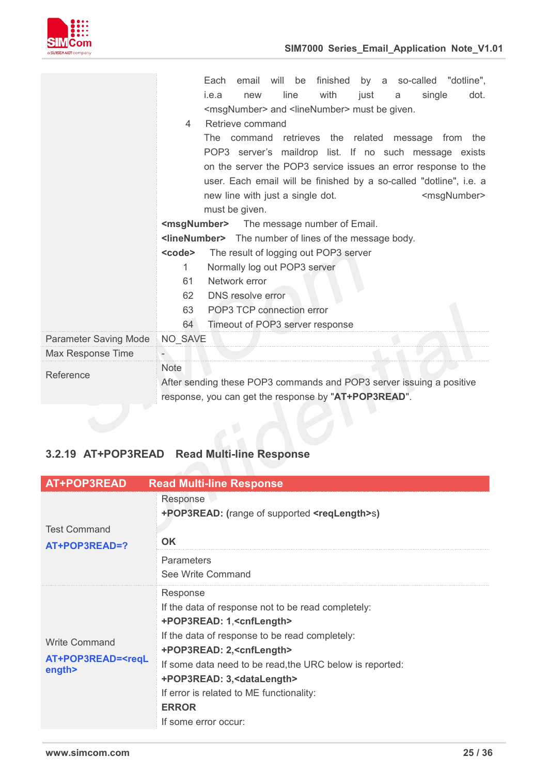

|                              |             | Each                                                    | email                            |  | will be |                                                                      |      |   | finished by a so-called "dotline",                                   |                         |
|------------------------------|-------------|---------------------------------------------------------|----------------------------------|--|---------|----------------------------------------------------------------------|------|---|----------------------------------------------------------------------|-------------------------|
|                              |             | i.e.a                                                   | new                              |  | line    | with                                                                 | just | a | single                                                               | dot.                    |
|                              |             |                                                         |                                  |  |         | <msgnumber> and <linenumber> must be given.</linenumber></msgnumber> |      |   |                                                                      |                         |
|                              | 4           | Retrieve command                                        |                                  |  |         |                                                                      |      |   |                                                                      |                         |
|                              |             |                                                         |                                  |  |         |                                                                      |      |   | The command retrieves the related message from the                   |                         |
|                              |             |                                                         |                                  |  |         |                                                                      |      |   | POP3 server's maildrop list. If no such message exists               |                         |
|                              |             |                                                         |                                  |  |         |                                                                      |      |   | on the server the POP3 service issues an error response to the       |                         |
|                              |             |                                                         |                                  |  |         |                                                                      |      |   | user. Each email will be finished by a so-called "dotline", i.e. a   |                         |
|                              |             |                                                         | new line with just a single dot. |  |         |                                                                      |      |   |                                                                      | <msgnumber></msgnumber> |
|                              |             |                                                         | must be given.                   |  |         |                                                                      |      |   |                                                                      |                         |
|                              |             |                                                         |                                  |  |         | <msgnumber> The message number of Email.</msgnumber>                 |      |   |                                                                      |                         |
|                              |             |                                                         |                                  |  |         | <linenumber> The number of lines of the message body.</linenumber>   |      |   |                                                                      |                         |
|                              |             | <code><br/>The result of logging out POP3 server</code> |                                  |  |         |                                                                      |      |   |                                                                      |                         |
|                              | 1           |                                                         | Normally log out POP3 server     |  |         |                                                                      |      |   |                                                                      |                         |
|                              | 61          |                                                         | Network error                    |  |         |                                                                      |      |   |                                                                      |                         |
|                              | 62          |                                                         | DNS resolve error                |  |         |                                                                      |      |   |                                                                      |                         |
|                              | 63          |                                                         | POP3 TCP connection error        |  |         |                                                                      |      |   |                                                                      |                         |
|                              | 64          |                                                         |                                  |  |         | Timeout of POP3 server response                                      |      |   |                                                                      |                         |
| <b>Parameter Saving Mode</b> | NO_SAVE     |                                                         |                                  |  |         |                                                                      |      |   |                                                                      |                         |
| Max Response Time            |             |                                                         |                                  |  |         |                                                                      |      |   |                                                                      |                         |
| Reference                    | <b>Note</b> |                                                         |                                  |  |         |                                                                      |      |   |                                                                      |                         |
|                              |             |                                                         |                                  |  |         |                                                                      |      |   | After sending these POP3 commands and POP3 server issuing a positive |                         |
|                              |             |                                                         |                                  |  |         | response, you can get the response by "AT+POP3READ".                 |      |   |                                                                      |                         |

#### **3.2.19 AT+POP3READ Read Multi-line Response**

| AT+POP3READ                                                       | <b>Read Multi-line Response</b>                                                                                                                                                                                                                                                                                                                                                                    |
|-------------------------------------------------------------------|----------------------------------------------------------------------------------------------------------------------------------------------------------------------------------------------------------------------------------------------------------------------------------------------------------------------------------------------------------------------------------------------------|
| <b>Test Command</b><br>AT+POP3READ=?                              | Response<br>+POP3READ: (range of supported <reqlength>s)<br/><b>OK</b></reqlength>                                                                                                                                                                                                                                                                                                                 |
|                                                                   | <b>Parameters</b><br>See Write Command                                                                                                                                                                                                                                                                                                                                                             |
| <b>Write Command</b><br>AT+POP3READ= <reql<br>ength&gt;</reql<br> | Response<br>If the data of response not to be read completely:<br>+POP3READ: 1, <cnflength><br/>If the data of response to be read completely:<br/>+POP3READ: 2,<cnflength><br/>If some data need to be read, the URC below is reported:<br/>+POP3READ: 3,<datalength><br/>If error is related to ME functionality:<br/><b>ERROR</b><br/>If some error occur:</datalength></cnflength></cnflength> |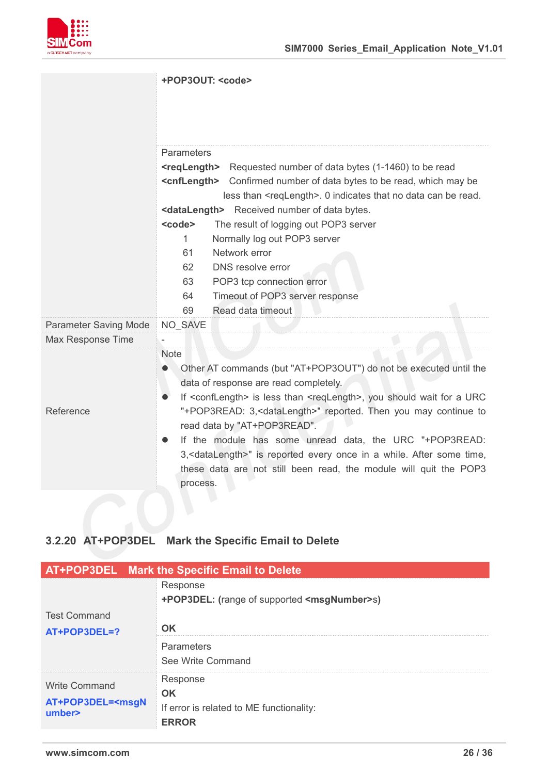

**+POP3OUT: <code>**

|                              | <b>Parameters</b>                                                                            |  |  |  |  |  |  |  |
|------------------------------|----------------------------------------------------------------------------------------------|--|--|--|--|--|--|--|
|                              | <b><reqlength></reqlength></b> Requested number of data bytes (1-1460) to be read            |  |  |  |  |  |  |  |
|                              | <cnflength> Confirmed number of data bytes to be read, which may be</cnflength>              |  |  |  |  |  |  |  |
|                              | less than <reqlength>. 0 indicates that no data can be read.</reqlength>                     |  |  |  |  |  |  |  |
|                              | <datalength> Received number of data bytes.</datalength>                                     |  |  |  |  |  |  |  |
|                              | <code><br/>The result of logging out POP3 server</code>                                      |  |  |  |  |  |  |  |
|                              | Normally log out POP3 server<br>1                                                            |  |  |  |  |  |  |  |
|                              | 61<br>Network error                                                                          |  |  |  |  |  |  |  |
|                              | 62<br>DNS resolve error                                                                      |  |  |  |  |  |  |  |
|                              | 63<br>POP3 tcp connection error                                                              |  |  |  |  |  |  |  |
|                              | Timeout of POP3 server response<br>64                                                        |  |  |  |  |  |  |  |
|                              | 69<br>Read data timeout                                                                      |  |  |  |  |  |  |  |
| <b>Parameter Saving Mode</b> | NO_SAVE                                                                                      |  |  |  |  |  |  |  |
| Max Response Time            |                                                                                              |  |  |  |  |  |  |  |
|                              | <b>Note</b>                                                                                  |  |  |  |  |  |  |  |
|                              | Other AT commands (but "AT+POP3OUT") do not be executed until the                            |  |  |  |  |  |  |  |
|                              | data of response are read completely.                                                        |  |  |  |  |  |  |  |
|                              | If <conflength> is less than <reqlength>, you should wait for a URC</reqlength></conflength> |  |  |  |  |  |  |  |
| Reference                    | "+POP3READ: 3, <datalength>" reported. Then you may continue to</datalength>                 |  |  |  |  |  |  |  |
|                              | read data by "AT+POP3READ".                                                                  |  |  |  |  |  |  |  |
|                              | If the module has some unread data, the URC "+POP3READ:                                      |  |  |  |  |  |  |  |
|                              | 3, <datalength>" is reported every once in a while. After some time,</datalength>            |  |  |  |  |  |  |  |
|                              | these data are not still been read, the module will quit the POP3                            |  |  |  |  |  |  |  |
|                              | process.                                                                                     |  |  |  |  |  |  |  |
|                              |                                                                                              |  |  |  |  |  |  |  |

#### **3.2.20 AT+POP3DEL Mark the Specific Email to Delete**

|                                                                  | <b>AT+POP3DEL</b> Mark the Specific Email to Delete                               |
|------------------------------------------------------------------|-----------------------------------------------------------------------------------|
|                                                                  | Response<br>+POP3DEL: (range of supported <msgnumber>s)</msgnumber>               |
| <b>Test Command</b><br>AT+POP3DEL=?                              | OK                                                                                |
|                                                                  | Parameters<br>See Write Command                                                   |
| <b>Write Command</b><br>AT+POP3DEL= <msgn<br>umber&gt;</msgn<br> | Response<br><b>OK</b><br>If error is related to ME functionality:<br><b>ERROR</b> |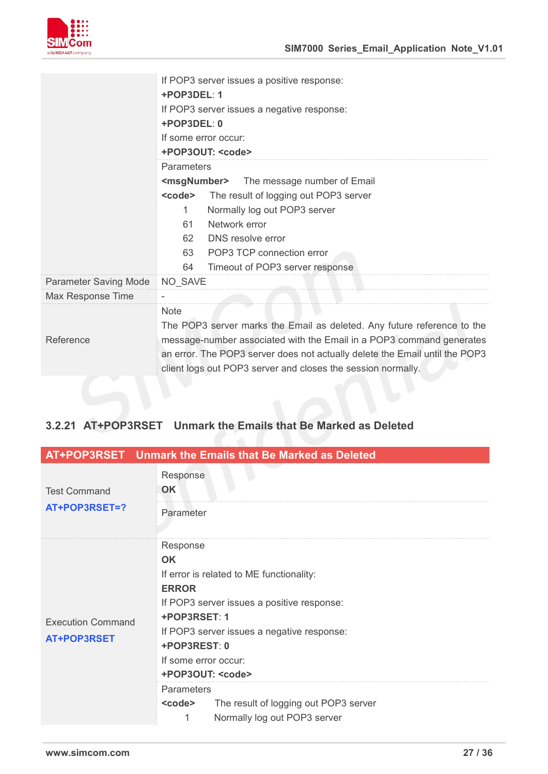

|                              | If POP3 server issues a positive response:                                  |  |
|------------------------------|-----------------------------------------------------------------------------|--|
|                              | +POP3DEL: 1                                                                 |  |
|                              | If POP3 server issues a negative response:                                  |  |
|                              | +POP3DEL: 0                                                                 |  |
|                              | If some error occur:                                                        |  |
|                              | +POP3OUT: <code></code>                                                     |  |
|                              | Parameters                                                                  |  |
|                              | <msgnumber><br/>The message number of Email</msgnumber>                     |  |
|                              | <code><br/>The result of logging out POP3 server</code>                     |  |
|                              | Normally log out POP3 server                                                |  |
|                              | Network error<br>61                                                         |  |
|                              | 62<br>DNS resolve error                                                     |  |
|                              | 63<br>POP3 TCP connection error                                             |  |
|                              | Timeout of POP3 server response<br>64                                       |  |
| <b>Parameter Saving Mode</b> | NO_SAVE                                                                     |  |
| Max Response Time            |                                                                             |  |
|                              | <b>Note</b>                                                                 |  |
|                              | The POP3 server marks the Email as deleted. Any future reference to the     |  |
| Reference                    | message-number associated with the Email in a POP3 command generates        |  |
|                              | an error. The POP3 server does not actually delete the Email until the POP3 |  |
|                              | client logs out POP3 server and closes the session normally.                |  |
|                              |                                                                             |  |

#### **3.2.21 AT+POP3RSET Unmark the Emails that Be Marked as Deleted**

|                                                | <b>AT+POP3RSET</b> Unmark the Emails that Be Marked as Deleted                                                                                                                                                                                                                  |
|------------------------------------------------|---------------------------------------------------------------------------------------------------------------------------------------------------------------------------------------------------------------------------------------------------------------------------------|
| <b>Test Command</b><br>AT+POP3RSET=?           | Response<br><b>OK</b>                                                                                                                                                                                                                                                           |
|                                                | Parameter                                                                                                                                                                                                                                                                       |
| <b>Execution Command</b><br><b>AT+POP3RSET</b> | Response<br><b>OK</b><br>If error is related to ME functionality:<br><b>ERROR</b><br>If POP3 server issues a positive response:<br>+POP3RSET: 1<br>If POP3 server issues a negative response:<br>+POP3REST: 0<br>If some error occur:<br>+POP3OUT: <code><br/>Parameters</code> |
|                                                | <code><br/>The result of logging out POP3 server<br/>Normally log out POP3 server<br/>1</code>                                                                                                                                                                                  |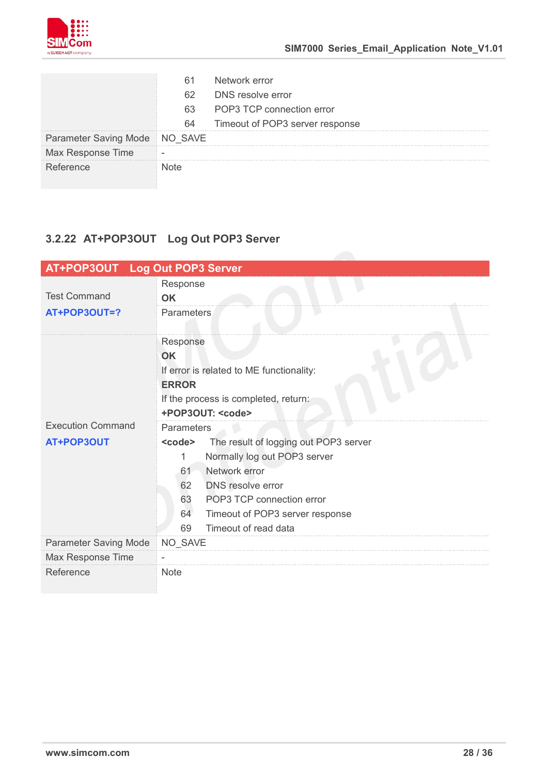

|                               |     | Network error                   |
|-------------------------------|-----|---------------------------------|
|                               | 62  | DNS resolve error               |
|                               | 63. | POP3 TCP connection error       |
|                               |     | Timeout of POP3 server response |
| Parameter Saving Mode NO_SAVE |     |                                 |
| Max Response Time             |     |                                 |
| Reference                     |     |                                 |

#### **3.2.22 AT+POP3OUT Log Out POP3 Server**

| AT+POP3OUT Log Out POP3 Server |                                                                                                                                                                                                                                                                             |
|--------------------------------|-----------------------------------------------------------------------------------------------------------------------------------------------------------------------------------------------------------------------------------------------------------------------------|
| <b>Test Command</b>            | Response<br><b>OK</b>                                                                                                                                                                                                                                                       |
| AT+POP3OUT=?                   | Parameters                                                                                                                                                                                                                                                                  |
|                                | Response<br><b>OK</b><br>If error is related to ME functionality:<br><b>ERROR</b><br>If the process is completed, return:<br>+POP3OUT: < code>                                                                                                                              |
| <b>Execution Command</b>       | Parameters                                                                                                                                                                                                                                                                  |
| AT+POP3OUT                     | <code><br/>The result of logging out POP3 server<br/>Normally log out POP3 server<br/>1<br/>Network error<br/>61<br/>62<br/><b>DNS</b> resolve error<br/>63<br/>POP3 TCP connection error<br/>64<br/>Timeout of POP3 server response<br/>Timeout of read data<br/>69</code> |
| Parameter Saving Mode          | NO_SAVE                                                                                                                                                                                                                                                                     |
| Max Response Time              |                                                                                                                                                                                                                                                                             |
| Reference                      | <b>Note</b>                                                                                                                                                                                                                                                                 |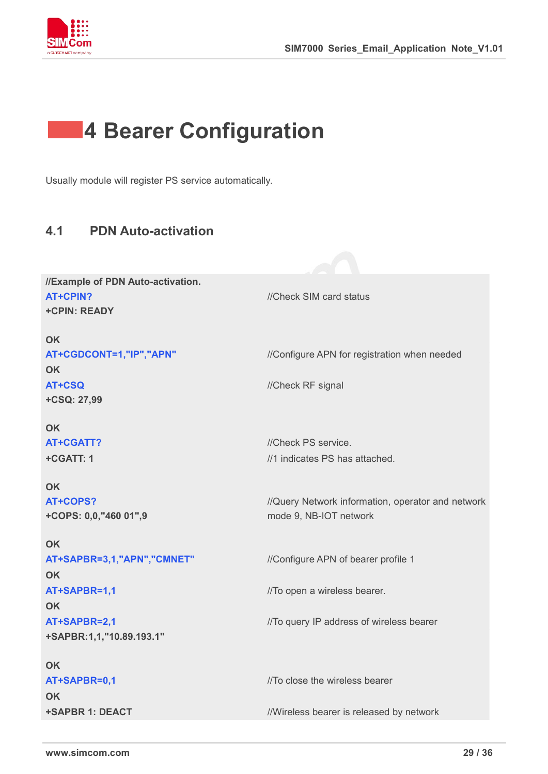

## **4 Bearer Configuration**

Usually module will register PS service automatically.

#### **4.1 PDN Auto-activation**

| //Example of PDN Auto-activation.<br><b>AT+CPIN?</b><br><b>+CPIN: READY</b> | //Check SIM card status                           |
|-----------------------------------------------------------------------------|---------------------------------------------------|
| <b>OK</b>                                                                   |                                                   |
| AT+CGDCONT=1,"IP","APN"                                                     | //Configure APN for registration when needed      |
| <b>OK</b>                                                                   |                                                   |
| AT+CSQ                                                                      | //Check RF signal                                 |
| +CSQ: 27,99                                                                 |                                                   |
| <b>OK</b>                                                                   |                                                   |
| AT+CGATT?                                                                   | //Check PS service.                               |
| +CGATT: 1                                                                   | //1 indicates PS has attached.                    |
| <b>OK</b>                                                                   |                                                   |
| AT+COPS?                                                                    | //Query Network information, operator and network |
| +COPS: 0,0,"460 01",9                                                       | mode 9, NB-IOT network                            |
| <b>OK</b>                                                                   |                                                   |
| AT+SAPBR=3,1,"APN","CMNET"                                                  | //Configure APN of bearer profile 1               |
| <b>OK</b>                                                                   |                                                   |
| AT+SAPBR=1,1                                                                | //To open a wireless bearer.                      |
| <b>OK</b>                                                                   |                                                   |
| AT+SAPBR=2,1                                                                | //To query IP address of wireless bearer          |
| +SAPBR:1,1,"10.89.193.1"                                                    |                                                   |
| <b>OK</b>                                                                   |                                                   |
| AT+SAPBR=0,1                                                                | //To close the wireless bearer                    |
| <b>OK</b>                                                                   |                                                   |
| +SAPBR 1: DEACT                                                             | //Wireless bearer is released by network          |
|                                                                             |                                                   |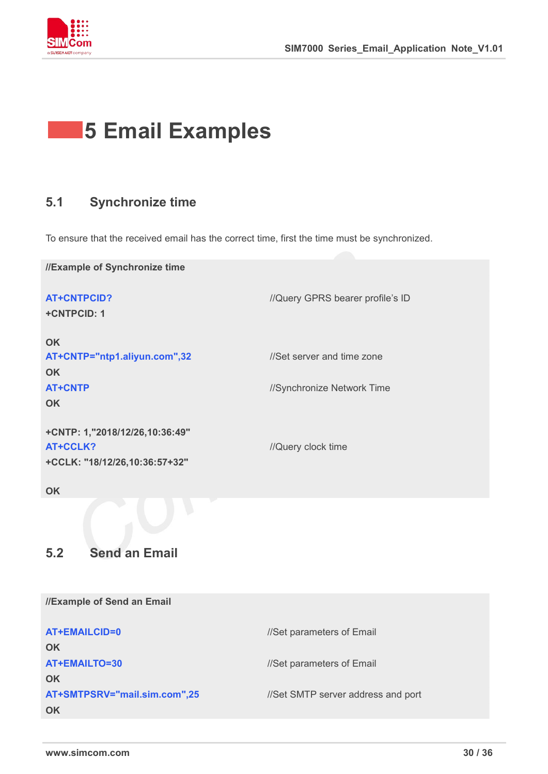

## **5 Email Examples**

#### **5.1 Synchronize time**

To ensure that the received email has the correct time, first the time must be synchronized.

**//Example of Synchronize time AT+CNTPCID?** *//Query GPRS bearer profile's ID* **+CNTPCID: 1 OK AT+CNTP="ntp1.aliyun.com",32** //Set server and time zone **OK AT+CNTP** //Synchronize Network Time **OK +CNTP: 1,"2018/12/26,10:36:49" AT+CCLK?** //Query clock time **+CCLK: "18/12/26,10:36:57+32" OK 5.2 Send an Email**

| //Example of Send an Email   |                                    |
|------------------------------|------------------------------------|
| AT+EMAILCID=0                | //Set parameters of Email          |
| <b>OK</b>                    |                                    |
| AT+EMAILTO=30                | //Set parameters of Email          |
| <b>OK</b>                    |                                    |
| AT+SMTPSRV="mail.sim.com",25 | //Set SMTP server address and port |
| <b>OK</b>                    |                                    |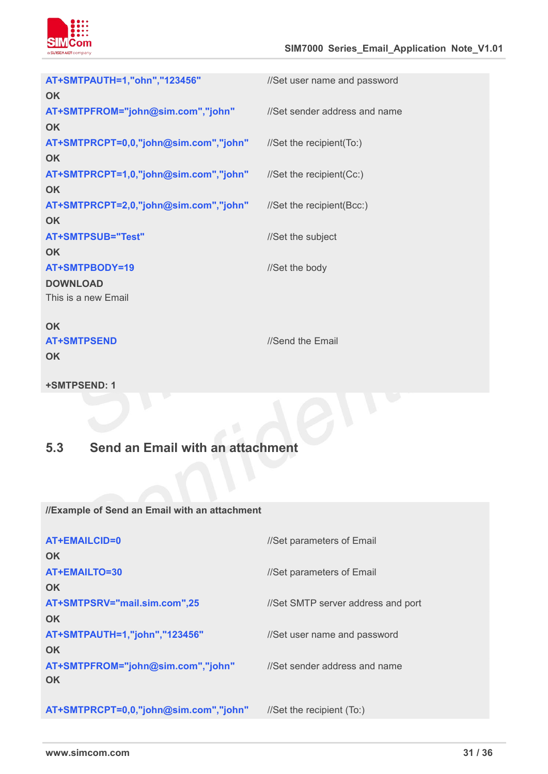

| AT+SMTPAUTH=1,"ohn","123456"<br><b>OK</b>          | //Set user name and password  |
|----------------------------------------------------|-------------------------------|
| AT+SMTPFROM="john@sim.com","john"<br><b>OK</b>     | //Set sender address and name |
| AT+SMTPRCPT=0,0,"john@sim.com","john"<br><b>OK</b> | //Set the recipient(To:)      |
| AT+SMTPRCPT=1,0,"john@sim.com","john"<br><b>OK</b> | //Set the recipient(Cc:)      |
| AT+SMTPRCPT=2,0,"john@sim.com","john"<br><b>OK</b> | //Set the recipient(Bcc:)     |
| <b>AT+SMTPSUB="Test"</b><br><b>OK</b>              | //Set the subject             |
| AT+SMTPBODY=19<br><b>DOWNLOAD</b>                  | //Set the body                |
| This is a new Email                                |                               |
| <b>OK</b><br><b>AT+SMTPSEND</b><br><b>OK</b>       | //Send the Email              |

**+SMTPSEND: 1**

# **5.3 Send an Email with an attachment**

**//Example of Send an Email with an attachment**

| AT+EMAILCID=0<br><b>OK</b>                                  | //Set parameters of Email          |
|-------------------------------------------------------------|------------------------------------|
| <b>AT+EMAILTO=30</b><br><b>OK</b>                           | //Set parameters of Email          |
| AT+SMTPSRV="mail.sim.com",25<br><b>OK</b>                   | //Set SMTP server address and port |
| AT+SMTPAUTH=1,"john","123456"                               | //Set user name and password       |
| <b>OK</b><br>AT+SMTPFROM="john@sim.com","john"<br><b>OK</b> | //Set sender address and name      |
| AT+SMTPRCPT=0,0,"john@sim.com","john"                       | //Set the recipient $(T_0)$        |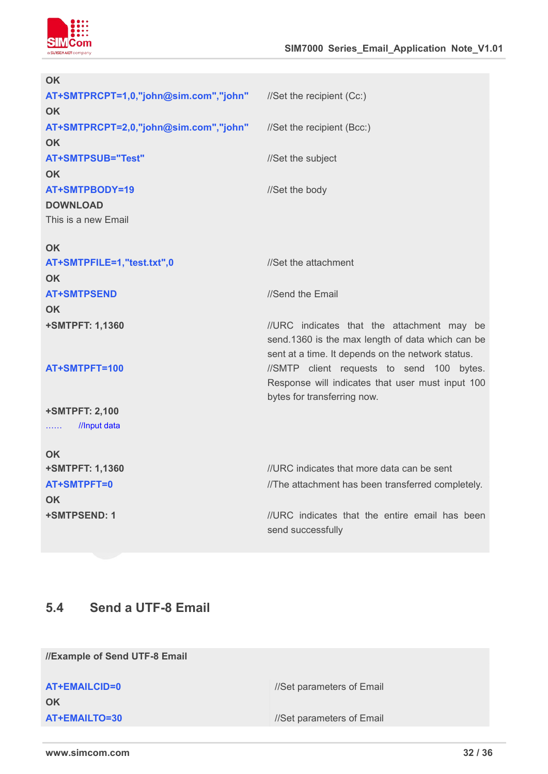

| <b>OK</b>                             |                                                                                                       |
|---------------------------------------|-------------------------------------------------------------------------------------------------------|
| AT+SMTPRCPT=1,0,"john@sim.com","john" | //Set the recipient (Cc:)                                                                             |
| <b>OK</b>                             |                                                                                                       |
| AT+SMTPRCPT=2,0,"john@sim.com","john" | //Set the recipient (Bcc:)                                                                            |
| <b>OK</b>                             |                                                                                                       |
| AT+SMTPSUB="Test"                     | //Set the subject                                                                                     |
| <b>OK</b>                             |                                                                                                       |
| AT+SMTPBODY=19                        | //Set the body                                                                                        |
| <b>DOWNLOAD</b>                       |                                                                                                       |
| This is a new Email                   |                                                                                                       |
|                                       |                                                                                                       |
| <b>OK</b>                             |                                                                                                       |
| AT+SMTPFILE=1,"test.txt",0            | //Set the attachment                                                                                  |
| <b>OK</b>                             |                                                                                                       |
| <b>AT+SMTPSEND</b>                    | //Send the Email                                                                                      |
| <b>OK</b>                             |                                                                                                       |
| <b>+SMTPFT: 1,1360</b>                | //URC indicates that the attachment may be                                                            |
|                                       | send.1360 is the max length of data which can be<br>sent at a time. It depends on the network status. |
| AT+SMTPFT=100                         | //SMTP client requests to send 100 bytes.                                                             |
|                                       | Response will indicates that user must input 100                                                      |
|                                       | bytes for transferring now.                                                                           |
| <b>+SMTPFT: 2,100</b>                 |                                                                                                       |
| //Input data<br>.                     |                                                                                                       |
|                                       |                                                                                                       |
| <b>OK</b>                             |                                                                                                       |
| <b>+SMTPFT: 1,1360</b>                | //URC indicates that more data can be sent                                                            |
| AT+SMTPFT=0                           | //The attachment has been transferred completely.                                                     |
| <b>OK</b>                             |                                                                                                       |
| +SMTPSEND: 1                          | //URC indicates that the entire email has been                                                        |
|                                       | send successfully                                                                                     |

#### **5.4 Send a UTF-8 Email**

**//Example of Send UTF-8 Email**

**OK**

**AT+EMAILCID=0** //Set parameters of Email

**AT+EMAILTO=30** //Set parameters of Email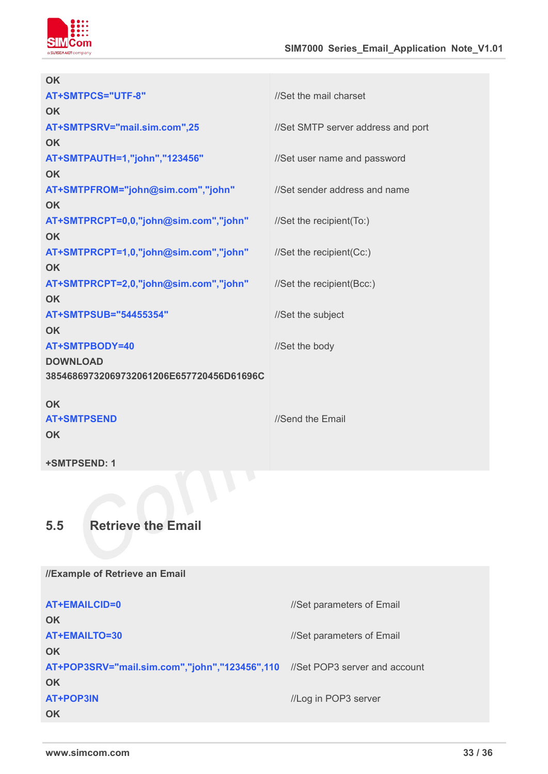

| <b>OK</b>                                |                                    |
|------------------------------------------|------------------------------------|
| AT+SMTPCS="UTF-8"                        | //Set the mail charset             |
| <b>OK</b>                                |                                    |
| AT+SMTPSRV="mail.sim.com",25             | //Set SMTP server address and port |
| <b>OK</b>                                |                                    |
| AT+SMTPAUTH=1,"john","123456"            | //Set user name and password       |
| <b>OK</b>                                |                                    |
| AT+SMTPFROM="john@sim.com","john"        | //Set sender address and name      |
| <b>OK</b>                                |                                    |
| AT+SMTPRCPT=0,0,"john@sim.com","john"    | //Set the recipient(To:)           |
| <b>OK</b>                                |                                    |
| AT+SMTPRCPT=1,0,"john@sim.com","john"    | //Set the recipient(Cc:)           |
| <b>OK</b>                                |                                    |
| AT+SMTPRCPT=2,0,"john@sim.com","john"    | //Set the recipient(Bcc:)          |
| <b>OK</b>                                |                                    |
| AT+SMTPSUB="54455354"                    | //Set the subject                  |
| <b>OK</b>                                |                                    |
| AT+SMTPBODY=40                           | //Set the body                     |
| <b>DOWNLOAD</b>                          |                                    |
| 38546869732069732061206E657720456D61696C |                                    |
| <b>OK</b>                                |                                    |
| <b>AT+SMTPSEND</b>                       | //Send the Email                   |
| <b>OK</b>                                |                                    |
|                                          |                                    |
| +SMTPSEND: 1                             |                                    |
|                                          |                                    |

#### **5.5 Retrieve the Email**

**//Example of Retrieve an Email AT+EMAILCID=0** //Set parameters of Email **OK AT+EMAILTO=30** //Set parameters of Email **OK AT+POP3SRV="mail.sim.com","john","123456",110** //Set POP3 server and account **OK AT+POP3IN** //Log in POP3 server **OK**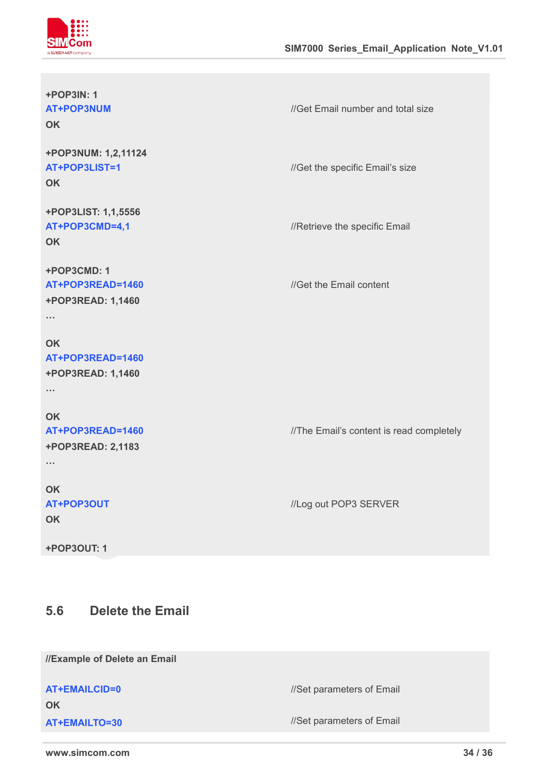

| <b>+POP3IN: 1</b><br>AT+POP3NUM<br><b>OK</b>                               | //Get Email number and total size        |  |
|----------------------------------------------------------------------------|------------------------------------------|--|
| +POP3NUM: 1,2,11124<br>AT+POP3LIST=1<br>OK                                 | //Get the specific Email's size          |  |
| +POP3LIST: 1,1,5556<br>AT+POP3CMD=4,1<br>OK.                               | //Retrieve the specific Email            |  |
| +POP3CMD: 1<br>AT+POP3READ=1460<br>+POP3READ: 1,1460<br>$\sim$ $\sim$      | //Get the Email content                  |  |
| <b>OK</b><br>AT+POP3READ=1460<br>+POP3READ: 1,1460<br>$\sim$ $\sim$ $\sim$ |                                          |  |
| <b>OK</b><br>AT+POP3READ=1460<br>+POP3READ: 2,1183<br>$\sim$ $\sim$ $\sim$ | //The Email's content is read completely |  |
| <b>OK</b><br>AT+POP3OUT<br>OK                                              | //Log out POP3 SERVER                    |  |
| <b>+POP3OUT: 1</b>                                                         |                                          |  |

#### **5.6 Delete the Email**

**//Example of Delete an Email**

**OK**

**AT+EMAILCID=0** //Set parameters of Email

**AT+EMAILTO=30** //Set parameters of Email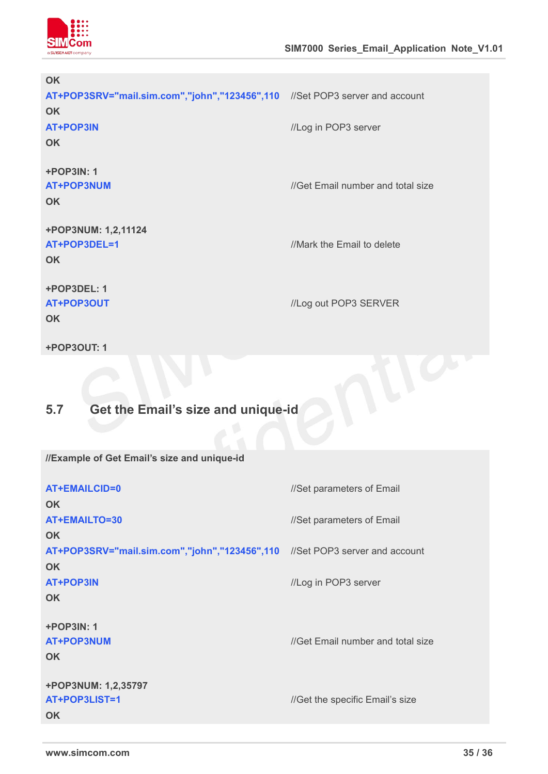

| <b>OK</b>                                                                   |                                   |  |
|-----------------------------------------------------------------------------|-----------------------------------|--|
| AT+POP3SRV="mail.sim.com","john","123456",110 //Set POP3 server and account |                                   |  |
| <b>OK</b>                                                                   |                                   |  |
| <b>AT+POP3IN</b>                                                            | //Log in POP3 server              |  |
| <b>OK</b>                                                                   |                                   |  |
| <b>+POP3IN: 1</b><br>AT+POP3NUM<br><b>OK</b>                                | //Get Email number and total size |  |
| +POP3NUM: 1,2,11124<br>AT+POP3DEL=1<br><b>OK</b>                            | //Mark the Email to delete        |  |
| +POP3DEL: 1<br>AT+POP3OUT<br><b>OK</b>                                      | //Log out POP3 SERVER             |  |

**+POP3OUT: 1**

## **5.7 Get the Email's size and unique-id**

**//Example of Get Email's size and unique-id**

| <b>AT+EMAILCID=0</b><br><b>OK</b>                                                        | //Set parameters of Email         |  |
|------------------------------------------------------------------------------------------|-----------------------------------|--|
| <b>AT+EMAILTO=30</b>                                                                     | //Set parameters of Email         |  |
| <b>OK</b>                                                                                |                                   |  |
| AT+POP3SRV="mail.sim.com","john","123456",110 //Set POP3 server and account<br><b>OK</b> |                                   |  |
| <b>AT+POP3IN</b>                                                                         | //Log in POP3 server              |  |
| <b>OK</b>                                                                                |                                   |  |
| <b>+POP3IN: 1</b><br>AT+POP3NUM<br><b>OK</b>                                             | //Get Email number and total size |  |
| +POP3NUM: 1,2,35797<br>AT+POP3LIST=1<br><b>OK</b>                                        | //Get the specific Email's size   |  |